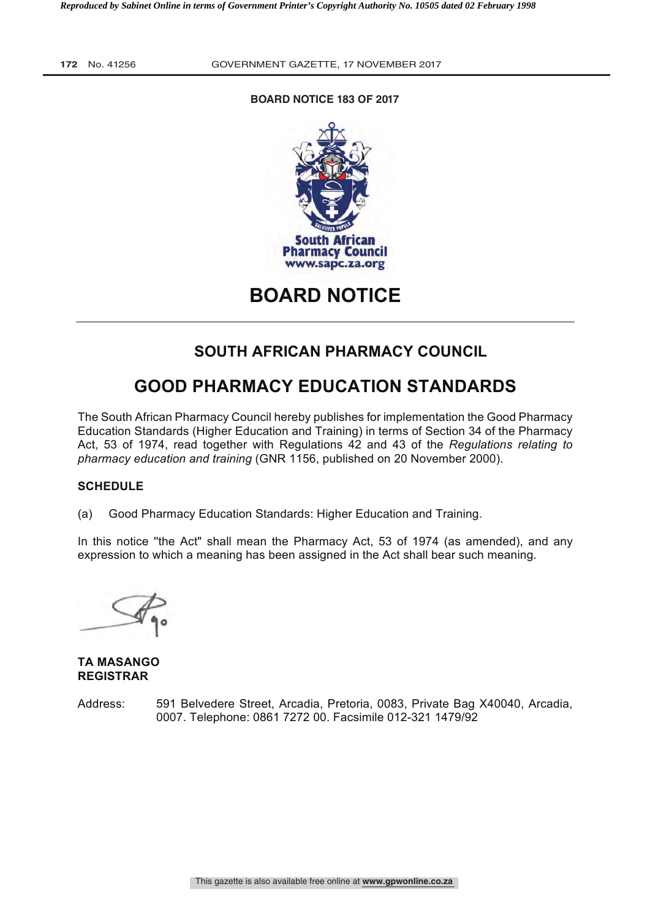# **BOARD NOTICE 183 OF 2017**



**BOARD NOTICE** 

# **SOUTH AFRICAN PHARMACY COUNCIL**

# **GOOD PHARMACY EDUCATION STANDARDS**

The South African Pharmacy Council hereby publishes for implementation the Good Pharmacy Education Standards (Higher Education and Training) in terms of Section 34 of the Pharmacy Act, 53 of 1974, read together with Regulations 42 and 43 of the *Regulations relating to pharmacy education and training* (GNR 1156, published on 20 November 2000).

# **SCHEDULE**

(a) Good Pharmacy Education Standards: Higher Education and Training.

In this notice ''the Act" shall mean the Pharmacy Act, 53 of 1974 (as amended), and any expression to which a meaning has been assigned in the Act shall bear such meaning.

**TA MASANGO REGISTRAR**

Address: 591 Belvedere Street, Arcadia, Pretoria, 0083, Private Bag X40040, Arcadia, 0007. Telephone: 0861 7272 00. Facsimile 012-321 1479/92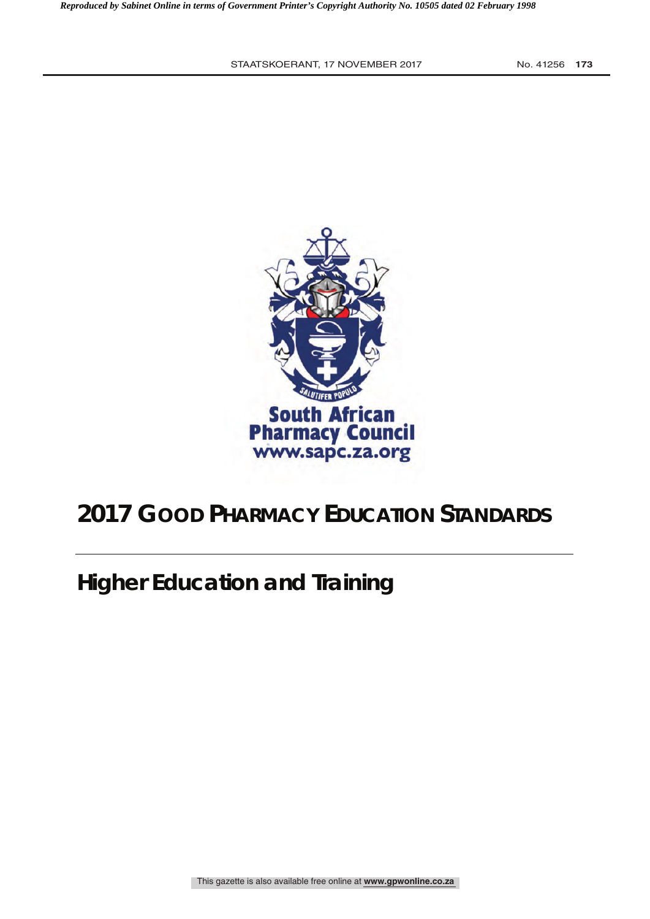

# **2017 GOOD PHARMACY EDUCATION STANDARDS**

**Higher Education and Training**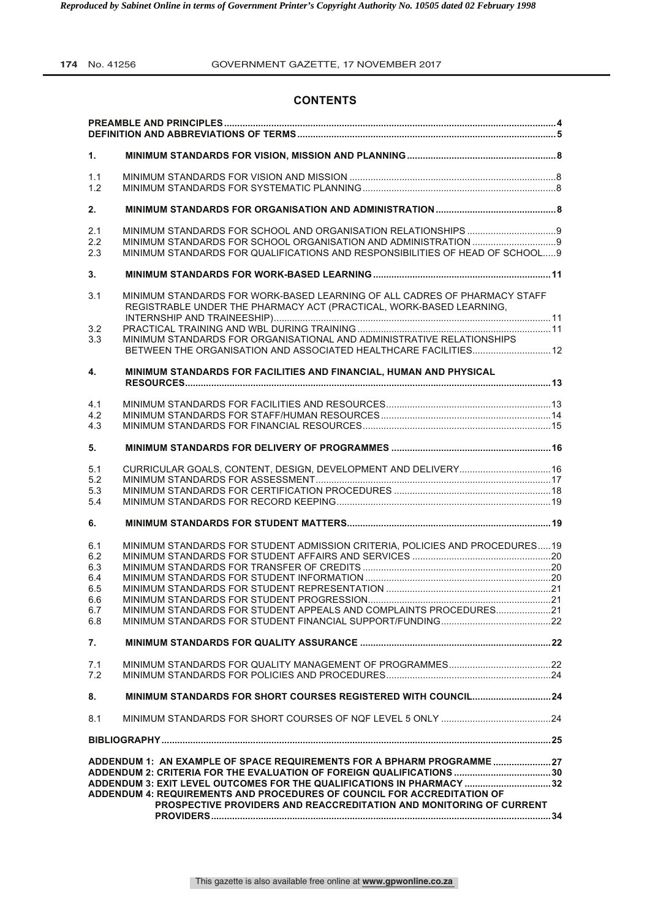# **CONTENTS**

| 1.  |                                                                              |  |
|-----|------------------------------------------------------------------------------|--|
| 1.1 |                                                                              |  |
| 1.2 |                                                                              |  |
|     |                                                                              |  |
| 2.  |                                                                              |  |
| 2.1 |                                                                              |  |
| 2.2 |                                                                              |  |
| 2.3 | MINIMUM STANDARDS FOR QUALIFICATIONS AND RESPONSIBILITIES OF HEAD OF SCHOOL9 |  |
| 3.  |                                                                              |  |
| 3.1 | MINIMUM STANDARDS FOR WORK-BASED LEARNING OF ALL CADRES OF PHARMACY STAFF    |  |
|     | REGISTRABLE UNDER THE PHARMACY ACT (PRACTICAL, WORK-BASED LEARNING,          |  |
|     |                                                                              |  |
| 3.2 |                                                                              |  |
| 3.3 | MINIMUM STANDARDS FOR ORGANISATIONAL AND ADMINISTRATIVE RELATIONSHIPS        |  |
|     | BETWEEN THE ORGANISATION AND ASSOCIATED HEALTHCARE FACILITIES 12             |  |
| 4.  | MINIMUM STANDARDS FOR FACILITIES AND FINANCIAL, HUMAN AND PHYSICAL           |  |
|     |                                                                              |  |
| 4.1 |                                                                              |  |
| 4.2 |                                                                              |  |
| 4.3 |                                                                              |  |
| 5.  |                                                                              |  |
|     |                                                                              |  |
| 5.1 | CURRICULAR GOALS, CONTENT, DESIGN, DEVELOPMENT AND DELIVERY 16               |  |
| 5.2 |                                                                              |  |
| 5.3 |                                                                              |  |
| 5.4 |                                                                              |  |
| 6.  |                                                                              |  |
|     |                                                                              |  |
| 6.1 | MINIMUM STANDARDS FOR STUDENT ADMISSION CRITERIA, POLICIES AND PROCEDURES 19 |  |
| 6.2 |                                                                              |  |
| 6.3 |                                                                              |  |
| 6.4 |                                                                              |  |
| 6.5 |                                                                              |  |
| 6.6 |                                                                              |  |
| 6.7 | MINIMUM STANDARDS FOR STUDENT APPEALS AND COMPLAINTS PROCEDURES21            |  |
| 6.8 |                                                                              |  |
| 7.  |                                                                              |  |
| 7.1 |                                                                              |  |
| 7.2 |                                                                              |  |
| 8.  |                                                                              |  |
| 8.1 |                                                                              |  |
|     |                                                                              |  |
|     | ADDENDUM 1: AN EXAMPLE OF SPACE REQUIREMENTS FOR A BPHARM PROGRAMME27        |  |
|     | ADDENDUM 2: CRITERIA FOR THE EVALUATION OF FOREIGN QUALIFICATIONS  30        |  |
|     | ADDENDUM 3: EXIT LEVEL OUTCOMES FOR THE QUALIFICATIONS IN PHARMACY  32       |  |
|     | ADDENDUM 4: REQUIREMENTS AND PROCEDURES OF COUNCIL FOR ACCREDITATION OF      |  |
|     | PROSPECTIVE PROVIDERS AND REACCREDITATION AND MONITORING OF CURRENT          |  |
|     |                                                                              |  |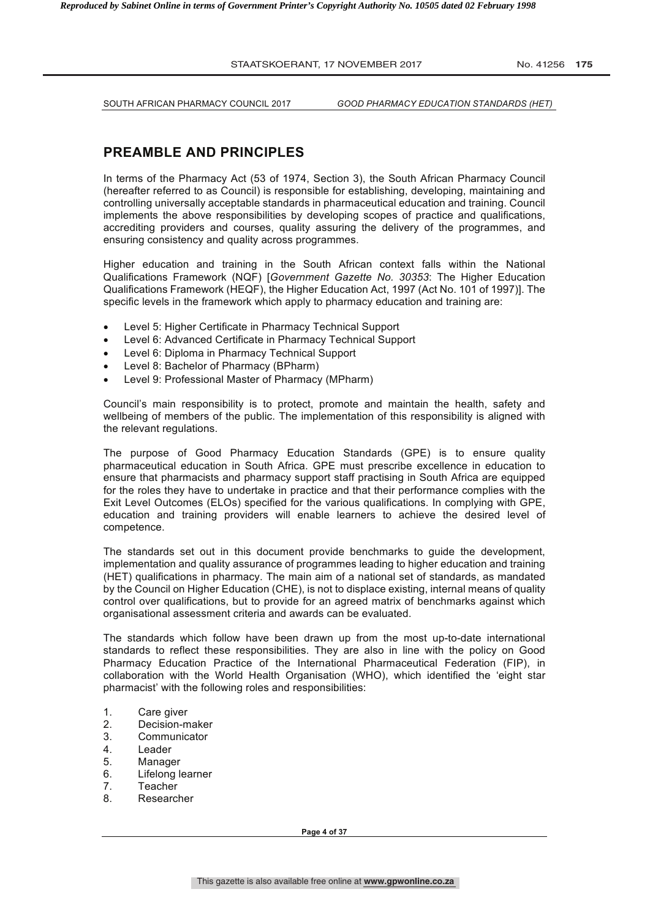SOUTH AFRICAN PHARMACY COUNCIL 2017 *GOOD PHARMACY EDUCATION STANDARDS (HET)*

# **PREAMBLE AND PRINCIPLES**

In terms of the Pharmacy Act (53 of 1974, Section 3), the South African Pharmacy Council (hereafter referred to as Council) is responsible for establishing, developing, maintaining and controlling universally acceptable standards in pharmaceutical education and training. Council implements the above responsibilities by developing scopes of practice and qualifications, accrediting providers and courses, quality assuring the delivery of the programmes, and ensuring consistency and quality across programmes.

Higher education and training in the South African context falls within the National Qualifications Framework (NQF) [*Government Gazette No. 30353*: The Higher Education Qualifications Framework (HEQF), the Higher Education Act, 1997 (Act No. 101 of 1997)]. The specific levels in the framework which apply to pharmacy education and training are:

- Level 5: Higher Certificate in Pharmacy Technical Support
- Level 6: Advanced Certificate in Pharmacy Technical Support
- Level 6: Diploma in Pharmacy Technical Support
- Level 8: Bachelor of Pharmacy (BPharm)
- Level 9: Professional Master of Pharmacy (MPharm)

Council's main responsibility is to protect, promote and maintain the health, safety and wellbeing of members of the public. The implementation of this responsibility is aligned with the relevant regulations.

The purpose of Good Pharmacy Education Standards (GPE) is to ensure quality pharmaceutical education in South Africa. GPE must prescribe excellence in education to ensure that pharmacists and pharmacy support staff practising in South Africa are equipped for the roles they have to undertake in practice and that their performance complies with the Exit Level Outcomes (ELOs) specified for the various qualifications. In complying with GPE, education and training providers will enable learners to achieve the desired level of competence.

The standards set out in this document provide benchmarks to guide the development, implementation and quality assurance of programmes leading to higher education and training (HET) qualifications in pharmacy. The main aim of a national set of standards, as mandated by the Council on Higher Education (CHE), is not to displace existing, internal means of quality control over qualifications, but to provide for an agreed matrix of benchmarks against which organisational assessment criteria and awards can be evaluated.

The standards which follow have been drawn up from the most up-to-date international standards to reflect these responsibilities. They are also in line with the policy on Good Pharmacy Education Practice of the International Pharmaceutical Federation (FIP), in collaboration with the World Health Organisation (WHO), which identified the 'eight star pharmacist' with the following roles and responsibilities:

- 1. Care giver
- 2. Decision-maker
- 3. Communicator
- 4. Leader
- 5. Manager
- 6. Lifelong learner
- 
- 7. Teacher<br>8. Researc **Researcher**

**Page 4 of 37**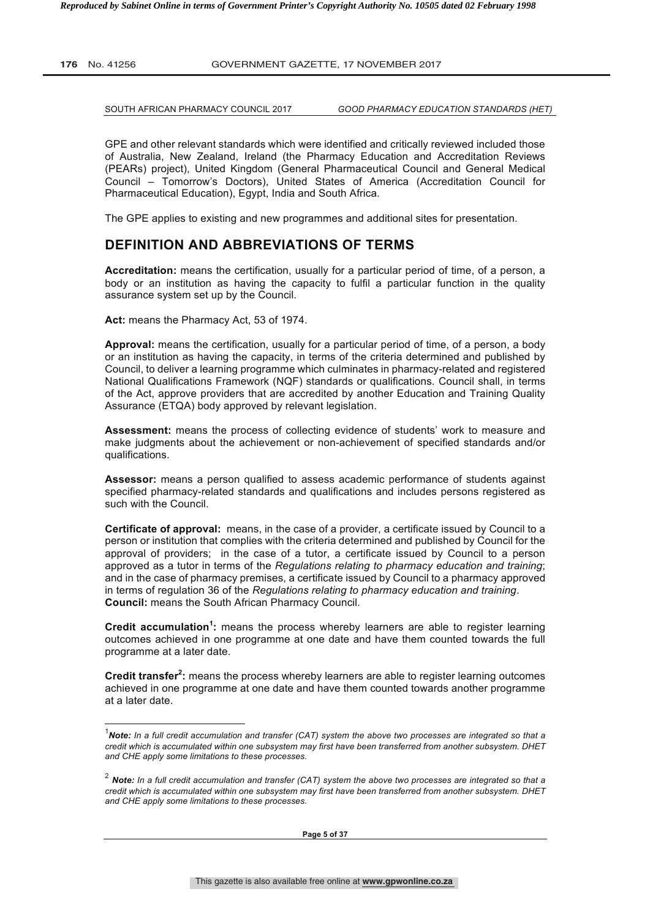j

**176** No. 41256 GOVERNMENT GAZETTE, 17 NOVEMBER 2017

SOUTH AFRICAN PHARMACY COUNCIL 2017 *GOOD PHARMACY EDUCATION STANDARDS (HET)*

GPE and other relevant standards which were identified and critically reviewed included those of Australia, New Zealand, Ireland (the Pharmacy Education and Accreditation Reviews (PEARs) project), United Kingdom (General Pharmaceutical Council and General Medical Council – Tomorrow's Doctors), United States of America (Accreditation Council for Pharmaceutical Education), Egypt, India and South Africa.

The GPE applies to existing and new programmes and additional sites for presentation.

# **DEFINITION AND ABBREVIATIONS OF TERMS**

**Accreditation:** means the certification, usually for a particular period of time, of a person, a body or an institution as having the capacity to fulfil a particular function in the quality assurance system set up by the Council.

**Act:** means the Pharmacy Act, 53 of 1974.

**Approval:** means the certification, usually for a particular period of time, of a person, a body or an institution as having the capacity, in terms of the criteria determined and published by Council, to deliver a learning programme which culminates in pharmacy-related and registered National Qualifications Framework (NQF) standards or qualifications. Council shall, in terms of the Act, approve providers that are accredited by another Education and Training Quality Assurance (ETQA) body approved by relevant legislation.

**Assessment:** means the process of collecting evidence of students' work to measure and make judgments about the achievement or non-achievement of specified standards and/or qualifications.

**Assessor:** means a person qualified to assess academic performance of students against specified pharmacy-related standards and qualifications and includes persons registered as such with the Council.

**Certificate of approval:** means, in the case of a provider, a certificate issued by Council to a person or institution that complies with the criteria determined and published by Council for the approval of providers; in the case of a tutor, a certificate issued by Council to a person approved as a tutor in terms of the *Regulations relating to pharmacy education and training*; and in the case of pharmacy premises, a certificate issued by Council to a pharmacy approved in terms of regulation 36 of the *Regulations relating to pharmacy education and training*. **Council:** means the South African Pharmacy Council.

**Credit accumulation<sup>1</sup> :** means the process whereby learners are able to register learning outcomes achieved in one programme at one date and have them counted towards the full programme at a later date.

Credit transfer<sup>2</sup>: means the process whereby learners are able to register learning outcomes achieved in one programme at one date and have them counted towards another programme at a later date.

<sup>1</sup> *Note: In a full credit accumulation and transfer (CAT) system the above two processes are integrated so that a credit which is accumulated within one subsystem may first have been transferred from another subsystem. DHET and CHE apply some limitations to these processes.*

<sup>2</sup> *Note: In a full credit accumulation and transfer (CAT) system the above two processes are integrated so that a credit which is accumulated within one subsystem may first have been transferred from another subsystem. DHET and CHE apply some limitations to these processes.*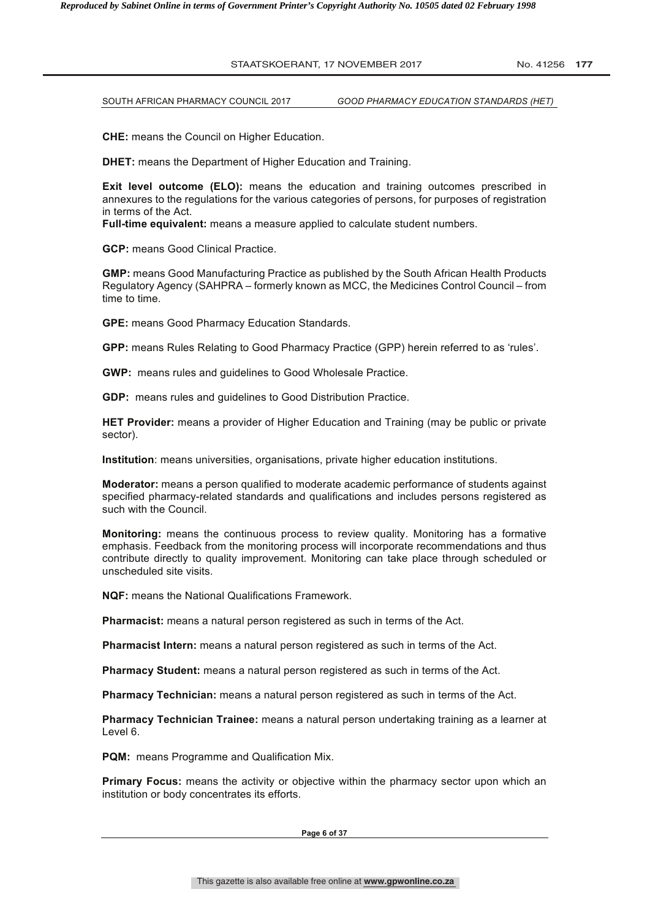**CHE:** means the Council on Higher Education.

**DHET:** means the Department of Higher Education and Training.

**Exit level outcome (ELO):** means the education and training outcomes prescribed in annexures to the regulations for the various categories of persons, for purposes of registration in terms of the Act.

**Full-time equivalent:** means a measure applied to calculate student numbers.

**GCP:** means Good Clinical Practice.

**GMP:** means Good Manufacturing Practice as published by the South African Health Products Regulatory Agency (SAHPRA – formerly known as MCC, the Medicines Control Council – from time to time.

**GPE:** means Good Pharmacy Education Standards.

**GPP:** means Rules Relating to Good Pharmacy Practice (GPP) herein referred to as 'rules'.

**GWP:** means rules and guidelines to Good Wholesale Practice.

**GDP:** means rules and guidelines to Good Distribution Practice.

**HET Provider:** means a provider of Higher Education and Training (may be public or private sector).

**Institution**: means universities, organisations, private higher education institutions.

**Moderator:** means a person qualified to moderate academic performance of students against specified pharmacy-related standards and qualifications and includes persons registered as such with the Council.

**Monitoring:** means the continuous process to review quality. Monitoring has a formative emphasis. Feedback from the monitoring process will incorporate recommendations and thus contribute directly to quality improvement. Monitoring can take place through scheduled or unscheduled site visits.

**NQF:** means the National Qualifications Framework.

**Pharmacist:** means a natural person registered as such in terms of the Act.

**Pharmacist Intern:** means a natural person registered as such in terms of the Act.

**Pharmacy Student:** means a natural person registered as such in terms of the Act.

**Pharmacy Technician:** means a natural person registered as such in terms of the Act.

**Pharmacy Technician Trainee:** means a natural person undertaking training as a learner at Level 6.

**PQM:** means Programme and Qualification Mix.

**Primary Focus:** means the activity or objective within the pharmacy sector upon which an institution or body concentrates its efforts.

**Page 6 of 37**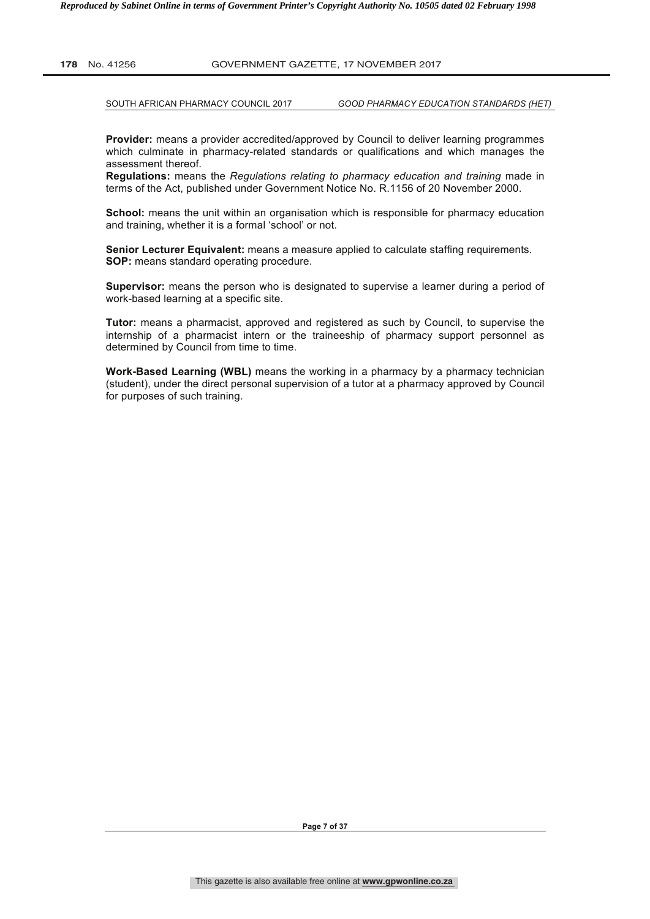SOUTH AFRICAN PHARMACY COUNCIL 2017 *GOOD PHARMACY EDUCATION STANDARDS (HET)*

**Provider:** means a provider accredited/approved by Council to deliver learning programmes which culminate in pharmacy-related standards or qualifications and which manages the assessment thereof.

**Regulations:** means the *Regulations relating to pharmacy education and training* made in terms of the Act, published under Government Notice No. R.1156 of 20 November 2000.

**School:** means the unit within an organisation which is responsible for pharmacy education and training, whether it is a formal 'school' or not.

**Senior Lecturer Equivalent:** means a measure applied to calculate staffing requirements. **SOP:** means standard operating procedure.

**Supervisor:** means the person who is designated to supervise a learner during a period of work-based learning at a specific site.

**Tutor:** means a pharmacist, approved and registered as such by Council, to supervise the internship of a pharmacist intern or the traineeship of pharmacy support personnel as determined by Council from time to time.

**Work-Based Learning (WBL)** means the working in a pharmacy by a pharmacy technician (student), under the direct personal supervision of a tutor at a pharmacy approved by Council for purposes of such training.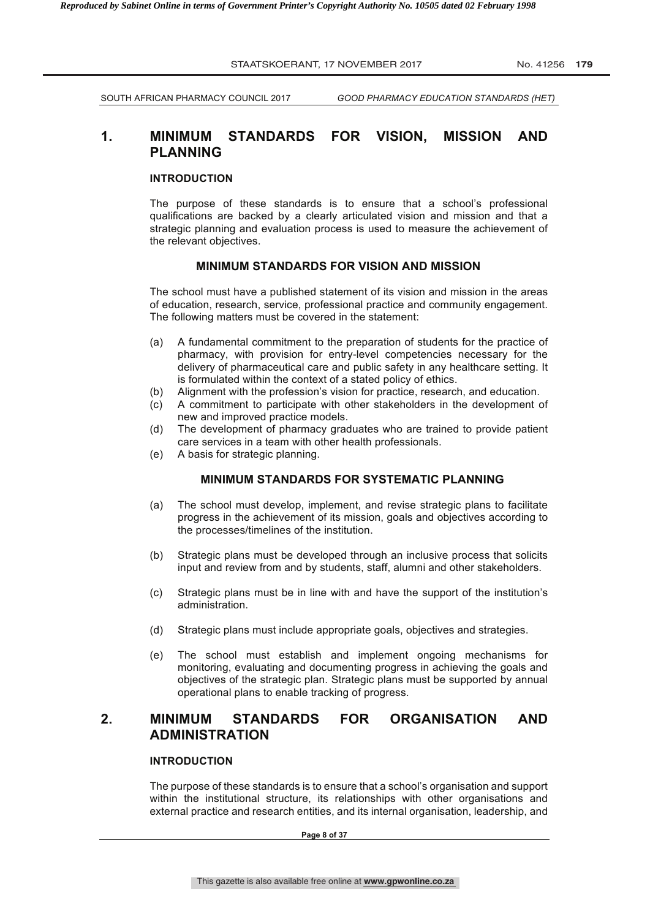# **1. MINIMUM STANDARDS FOR VISION, MISSION AND PLANNING**

#### **INTRODUCTION**

The purpose of these standards is to ensure that a school's professional qualifications are backed by a clearly articulated vision and mission and that a strategic planning and evaluation process is used to measure the achievement of the relevant objectives.

#### **MINIMUM STANDARDS FOR VISION AND MISSION**

The school must have a published statement of its vision and mission in the areas of education, research, service, professional practice and community engagement. The following matters must be covered in the statement:

- (a) A fundamental commitment to the preparation of students for the practice of pharmacy, with provision for entry-level competencies necessary for the delivery of pharmaceutical care and public safety in any healthcare setting. It is formulated within the context of a stated policy of ethics.
- (b) Alignment with the profession's vision for practice, research, and education.
- (c) A commitment to participate with other stakeholders in the development of new and improved practice models.
- (d) The development of pharmacy graduates who are trained to provide patient care services in a team with other health professionals.
- (e) A basis for strategic planning.

# **MINIMUM STANDARDS FOR SYSTEMATIC PLANNING**

- (a) The school must develop, implement, and revise strategic plans to facilitate progress in the achievement of its mission, goals and objectives according to the processes/timelines of the institution.
- (b) Strategic plans must be developed through an inclusive process that solicits input and review from and by students, staff, alumni and other stakeholders.
- (c) Strategic plans must be in line with and have the support of the institution's administration.
- (d) Strategic plans must include appropriate goals, objectives and strategies.
- (e) The school must establish and implement ongoing mechanisms for monitoring, evaluating and documenting progress in achieving the goals and objectives of the strategic plan. Strategic plans must be supported by annual operational plans to enable tracking of progress.

# **2. MINIMUM STANDARDS FOR ORGANISATION AND ADMINISTRATION**

# **INTRODUCTION**

The purpose of these standards is to ensure that a school's organisation and support within the institutional structure, its relationships with other organisations and external practice and research entities, and its internal organisation, leadership, and

**Page 8 of 37**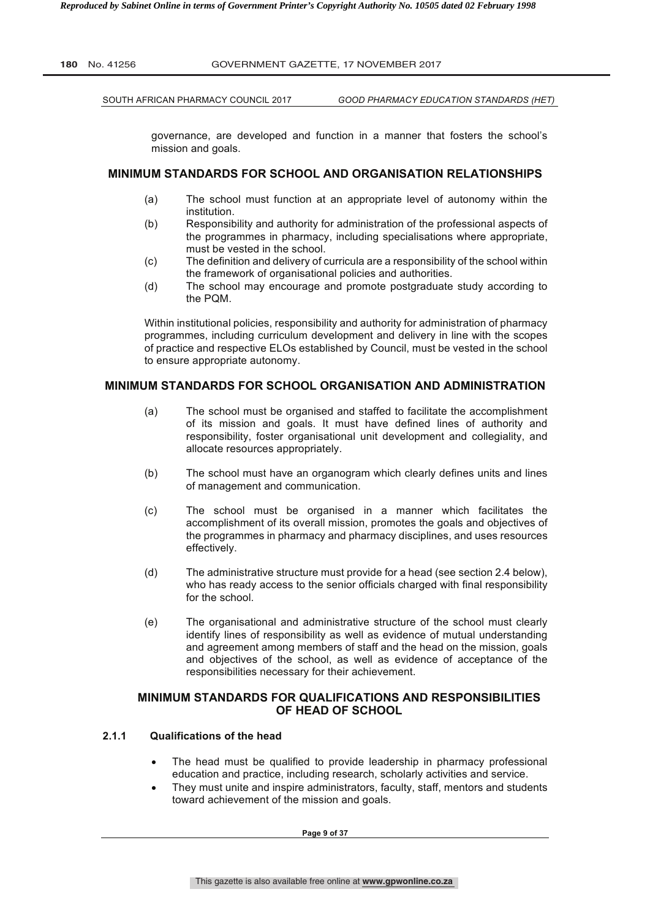SOUTH AFRICAN PHARMACY COUNCIL 2017 *GOOD PHARMACY EDUCATION STANDARDS (HET)*

governance, are developed and function in a manner that fosters the school's mission and goals.

# **MINIMUM STANDARDS FOR SCHOOL AND ORGANISATION RELATIONSHIPS**

- (a) The school must function at an appropriate level of autonomy within the institution.
- (b) Responsibility and authority for administration of the professional aspects of the programmes in pharmacy, including specialisations where appropriate, must be vested in the school.
- (c) The definition and delivery of curricula are a responsibility of the school within the framework of organisational policies and authorities.
- (d) The school may encourage and promote postgraduate study according to the PQM.

Within institutional policies, responsibility and authority for administration of pharmacy programmes, including curriculum development and delivery in line with the scopes of practice and respective ELOs established by Council, must be vested in the school to ensure appropriate autonomy.

# **MINIMUM STANDARDS FOR SCHOOL ORGANISATION AND ADMINISTRATION**

- (a) The school must be organised and staffed to facilitate the accomplishment of its mission and goals. It must have defined lines of authority and responsibility, foster organisational unit development and collegiality, and allocate resources appropriately.
- (b) The school must have an organogram which clearly defines units and lines of management and communication.
- (c) The school must be organised in a manner which facilitates the accomplishment of its overall mission, promotes the goals and objectives of the programmes in pharmacy and pharmacy disciplines, and uses resources effectively.
- (d) The administrative structure must provide for a head (see section 2.4 below), who has ready access to the senior officials charged with final responsibility for the school.
- (e) The organisational and administrative structure of the school must clearly identify lines of responsibility as well as evidence of mutual understanding and agreement among members of staff and the head on the mission, goals and objectives of the school, as well as evidence of acceptance of the responsibilities necessary for their achievement.

# **MINIMUM STANDARDS FOR QUALIFICATIONS AND RESPONSIBILITIES OF HEAD OF SCHOOL**

# **2.1.1 Qualifications of the head**

- The head must be qualified to provide leadership in pharmacy professional education and practice, including research, scholarly activities and service.
- They must unite and inspire administrators, faculty, staff, mentors and students toward achievement of the mission and goals.

**Page 9 of 37**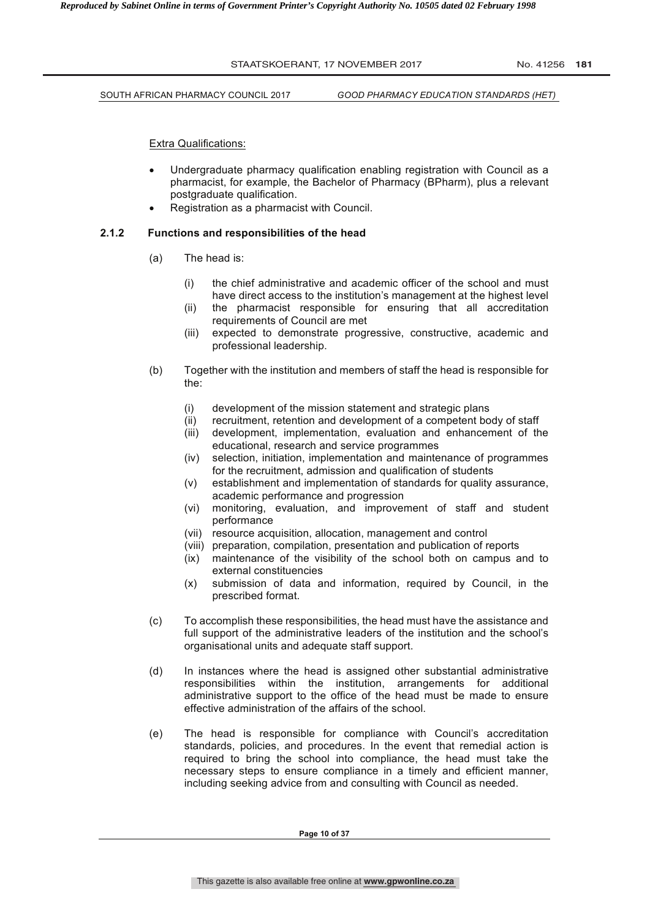STAATSKOERANT, 17 NOVEMBER 2017 No. 41256 181 SOUTH AFRICAN PHARMACY COUNCIL 2017 *GOOD PHARMACY EDUCATION STANDARDS (HET)*

Extra Qualifications:

- Undergraduate pharmacy qualification enabling registration with Council as a pharmacist, for example, the Bachelor of Pharmacy (BPharm), plus a relevant postgraduate qualification.
- Registration as a pharmacist with Council.

#### **2.1.2 Functions and responsibilities of the head**

- (a) The head is:
	- (i) the chief administrative and academic officer of the school and must have direct access to the institution's management at the highest level
	- (ii) the pharmacist responsible for ensuring that all accreditation requirements of Council are met
	- (iii) expected to demonstrate progressive, constructive, academic and professional leadership.
- (b) Together with the institution and members of staff the head is responsible for the:
	- (i) development of the mission statement and strategic plans
	- (ii) recruitment, retention and development of a competent body of staff
	- (iii) development, implementation, evaluation and enhancement of the educational, research and service programmes
	- (iv) selection, initiation, implementation and maintenance of programmes for the recruitment, admission and qualification of students
	- (v) establishment and implementation of standards for quality assurance, academic performance and progression
	- (vi) monitoring, evaluation, and improvement of staff and student performance
	- (vii) resource acquisition, allocation, management and control
	- (viii) preparation, compilation, presentation and publication of reports
	- (ix) maintenance of the visibility of the school both on campus and to external constituencies
	- (x) submission of data and information, required by Council, in the prescribed format.
- (c) To accomplish these responsibilities, the head must have the assistance and full support of the administrative leaders of the institution and the school's organisational units and adequate staff support.
- (d) In instances where the head is assigned other substantial administrative responsibilities within the institution, arrangements for additional administrative support to the office of the head must be made to ensure effective administration of the affairs of the school.
- (e) The head is responsible for compliance with Council's accreditation standards, policies, and procedures. In the event that remedial action is required to bring the school into compliance, the head must take the necessary steps to ensure compliance in a timely and efficient manner, including seeking advice from and consulting with Council as needed.

**Page 10 of 37**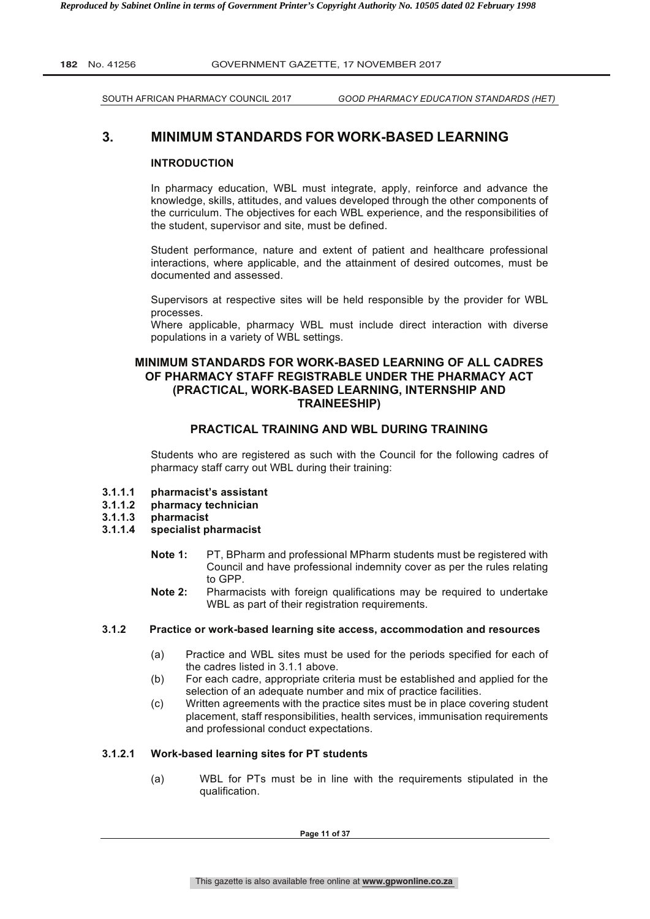SOUTH AFRICAN PHARMACY COUNCIL 2017 *GOOD PHARMACY EDUCATION STANDARDS (HET)*

# **3. MINIMUM STANDARDS FOR WORK-BASED LEARNING**

#### **INTRODUCTION**

In pharmacy education, WBL must integrate, apply, reinforce and advance the knowledge, skills, attitudes, and values developed through the other components of the curriculum. The objectives for each WBL experience, and the responsibilities of the student, supervisor and site, must be defined.

Student performance, nature and extent of patient and healthcare professional interactions, where applicable, and the attainment of desired outcomes, must be documented and assessed.

Supervisors at respective sites will be held responsible by the provider for WBL processes.

Where applicable, pharmacy WBL must include direct interaction with diverse populations in a variety of WBL settings.

# **MINIMUM STANDARDS FOR WORK-BASED LEARNING OF ALL CADRES OF PHARMACY STAFF REGISTRABLE UNDER THE PHARMACY ACT (PRACTICAL, WORK-BASED LEARNING, INTERNSHIP AND TRAINEESHIP)**

#### **PRACTICAL TRAINING AND WBL DURING TRAINING**

Students who are registered as such with the Council for the following cadres of pharmacy staff carry out WBL during their training:

- **3.1.1.1 pharmacist's assistant**
- **3.1.1.2 pharmacy technician**
- 
- **3.1.1.3 pharmacist 3.1.1.4 specialist pharmacist** 
	- **Note 1:** PT, BPharm and professional MPharm students must be registered with Council and have professional indemnity cover as per the rules relating to GPP.
	- **Note 2:** Pharmacists with foreign qualifications may be required to undertake WBL as part of their registration requirements.

#### **3.1.2 Practice or work-based learning site access, accommodation and resources**

- (a) Practice and WBL sites must be used for the periods specified for each of the cadres listed in 3.1.1 above.
- (b) For each cadre, appropriate criteria must be established and applied for the selection of an adequate number and mix of practice facilities.
- (c) Written agreements with the practice sites must be in place covering student placement, staff responsibilities, health services, immunisation requirements and professional conduct expectations.

#### **3.1.2.1 Work-based learning sites for PT students**

(a) WBL for PTs must be in line with the requirements stipulated in the qualification.

**Page 11 of 37**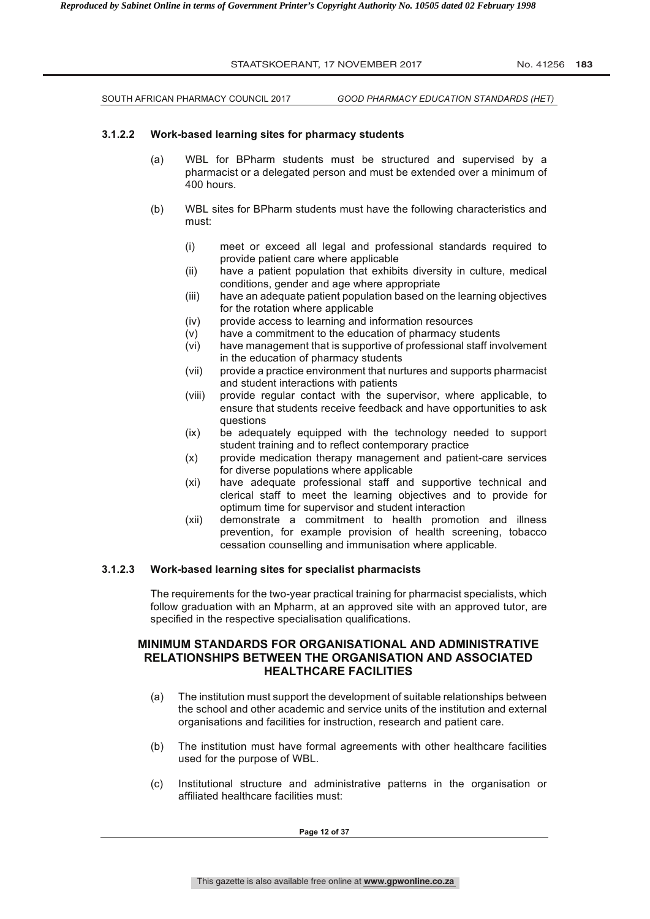STAATSKOERANT, 17 NOVEMBER 2017 No. 41256 183 SOUTH AFRICAN PHARMACY COUNCIL 2017 *GOOD PHARMACY EDUCATION STANDARDS (HET)* **3.1.2.2 Work-based learning sites for pharmacy students**  (a) WBL for BPharm students must be structured and supervised by a pharmacist or a delegated person and must be extended over a minimum of 400 hours. (b) WBL sites for BPharm students must have the following characteristics and must: (i) meet or exceed all legal and professional standards required to provide patient care where applicable (ii) have a patient population that exhibits diversity in culture, medical conditions, gender and age where appropriate (iii) have an adequate patient population based on the learning objectives for the rotation where applicable (iv) provide access to learning and information resources (v) have a commitment to the education of pharmacy students (vi) have management that is supportive of professional staff involvement in the education of pharmacy students (vii) provide a practice environment that nurtures and supports pharmacist and student interactions with patients (viii) provide regular contact with the supervisor, where applicable, to ensure that students receive feedback and have opportunities to ask questions (ix) be adequately equipped with the technology needed to support student training and to reflect contemporary practice (x) provide medication therapy management and patient-care services for diverse populations where applicable (xi) have adequate professional staff and supportive technical and clerical staff to meet the learning objectives and to provide for optimum time for supervisor and student interaction (xii) demonstrate a commitment to health promotion and illness prevention, for example provision of health screening, tobacco cessation counselling and immunisation where applicable. **3.1.2.3 Work-based learning sites for specialist pharmacists**  The requirements for the two-year practical training for pharmacist specialists, which follow graduation with an Mpharm, at an approved site with an approved tutor, are specified in the respective specialisation qualifications. **MINIMUM STANDARDS FOR ORGANISATIONAL AND ADMINISTRATIVE RELATIONSHIPS BETWEEN THE ORGANISATION AND ASSOCIATED HEALTHCARE FACILITIES** 

- (a) The institution must support the development of suitable relationships between the school and other academic and service units of the institution and external organisations and facilities for instruction, research and patient care.
- (b) The institution must have formal agreements with other healthcare facilities used for the purpose of WBL.
- (c) Institutional structure and administrative patterns in the organisation or affiliated healthcare facilities must: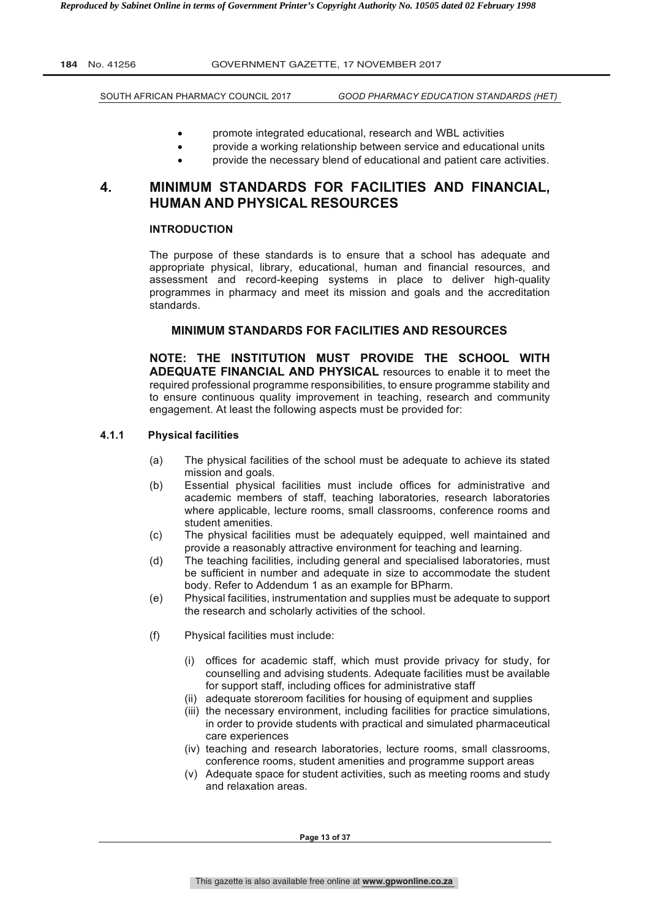SOUTH AFRICAN PHARMACY COUNCIL 2017 *GOOD PHARMACY EDUCATION STANDARDS (HET)*

- promote integrated educational, research and WBL activities
- provide a working relationship between service and educational units
- provide the necessary blend of educational and patient care activities.

# **4. MINIMUM STANDARDS FOR FACILITIES AND FINANCIAL, HUMAN AND PHYSICAL RESOURCES**

#### **INTRODUCTION**

The purpose of these standards is to ensure that a school has adequate and appropriate physical, library, educational, human and financial resources, and assessment and record-keeping systems in place to deliver high-quality programmes in pharmacy and meet its mission and goals and the accreditation standards.

# **MINIMUM STANDARDS FOR FACILITIES AND RESOURCES**

**NOTE: THE INSTITUTION MUST PROVIDE THE SCHOOL WITH ADEQUATE FINANCIAL AND PHYSICAL** resources to enable it to meet the required professional programme responsibilities, to ensure programme stability and to ensure continuous quality improvement in teaching, research and community engagement. At least the following aspects must be provided for:

#### **4.1.1 Physical facilities**

- (a) The physical facilities of the school must be adequate to achieve its stated mission and goals.
- (b) Essential physical facilities must include offices for administrative and academic members of staff, teaching laboratories, research laboratories where applicable, lecture rooms, small classrooms, conference rooms and student amenities.
- (c) The physical facilities must be adequately equipped, well maintained and provide a reasonably attractive environment for teaching and learning.
- (d) The teaching facilities, including general and specialised laboratories, must be sufficient in number and adequate in size to accommodate the student body. Refer to Addendum 1 as an example for BPharm.
- (e) Physical facilities, instrumentation and supplies must be adequate to support the research and scholarly activities of the school.
- (f) Physical facilities must include:
	- (i) offices for academic staff, which must provide privacy for study, for counselling and advising students. Adequate facilities must be available for support staff, including offices for administrative staff
	- (ii) adequate storeroom facilities for housing of equipment and supplies
	- (iii) the necessary environment, including facilities for practice simulations, in order to provide students with practical and simulated pharmaceutical care experiences
	- (iv) teaching and research laboratories, lecture rooms, small classrooms, conference rooms, student amenities and programme support areas
	- (v) Adequate space for student activities, such as meeting rooms and study and relaxation areas.

**Page 13 of 37**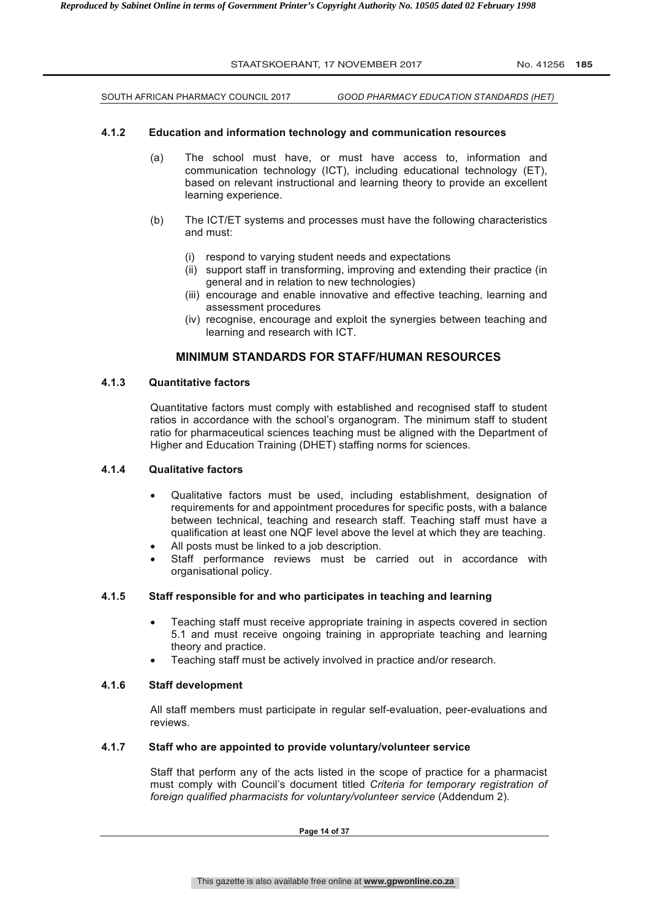|       |     | STAATSKOERANT, 17 NOVEMBER 2017     |                                                                                                                                                                                                                        | No. 41256 185 |  |
|-------|-----|-------------------------------------|------------------------------------------------------------------------------------------------------------------------------------------------------------------------------------------------------------------------|---------------|--|
|       |     | SOUTH AFRICAN PHARMACY COUNCIL 2017 | GOOD PHARMACY EDUCATION STANDARDS (HET)                                                                                                                                                                                |               |  |
| 4.1.2 |     |                                     | Education and information technology and communication resources                                                                                                                                                       |               |  |
|       | (a) | learning experience.                | The school must have, or must have access to, information and<br>communication technology (ICT), including educational technology (ET),<br>based on relevant instructional and learning theory to provide an excellent |               |  |
|       | (h) |                                     | The ICT/FT systems and processes must have the following characteristics                                                                                                                                               |               |  |

- (b) The ICT/ET systems and processes must have the following characteristics and must:
	- (i) respond to varying student needs and expectations
	- (ii) support staff in transforming, improving and extending their practice (in general and in relation to new technologies)
	- (iii) encourage and enable innovative and effective teaching, learning and assessment procedures
	- (iv) recognise, encourage and exploit the synergies between teaching and learning and research with ICT.

# **MINIMUM STANDARDS FOR STAFF/HUMAN RESOURCES**

# **4.1.3 Quantitative factors**

Quantitative factors must comply with established and recognised staff to student ratios in accordance with the school's organogram. The minimum staff to student ratio for pharmaceutical sciences teaching must be aligned with the Department of Higher and Education Training (DHET) staffing norms for sciences.

#### **4.1.4 Qualitative factors**

- Qualitative factors must be used, including establishment, designation of requirements for and appointment procedures for specific posts, with a balance between technical, teaching and research staff. Teaching staff must have a qualification at least one NQF level above the level at which they are teaching.
- All posts must be linked to a job description.
- Staff performance reviews must be carried out in accordance with organisational policy.

# **4.1.5 Staff responsible for and who participates in teaching and learning**

- Teaching staff must receive appropriate training in aspects covered in section 5.1 and must receive ongoing training in appropriate teaching and learning theory and practice.
- Teaching staff must be actively involved in practice and/or research.

# **4.1.6 Staff development**

All staff members must participate in regular self-evaluation, peer-evaluations and reviews.

#### **4.1.7 Staff who are appointed to provide voluntary/volunteer service**

Staff that perform any of the acts listed in the scope of practice for a pharmacist must comply with Council's document titled *Criteria for temporary registration of foreign qualified pharmacists for voluntary/volunteer service* (Addendum 2).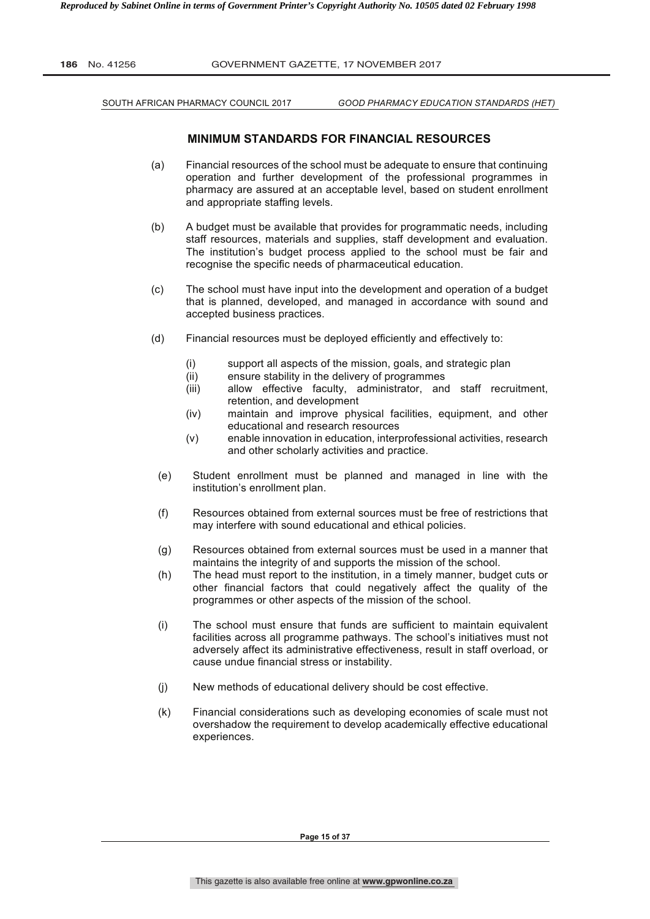| <b>186</b> No. 41256 | GOVERNMENT GAZETTE, 17 NOVEMBER 2017 |
|----------------------|--------------------------------------|
|                      |                                      |

SOUTH AFRICAN PHARMACY COUNCIL 2017 *GOOD PHARMACY EDUCATION STANDARDS (HET)*

# **MINIMUM STANDARDS FOR FINANCIAL RESOURCES**

- (a) Financial resources of the school must be adequate to ensure that continuing operation and further development of the professional programmes in pharmacy are assured at an acceptable level, based on student enrollment and appropriate staffing levels.
- (b) A budget must be available that provides for programmatic needs, including staff resources, materials and supplies, staff development and evaluation. The institution's budget process applied to the school must be fair and recognise the specific needs of pharmaceutical education.
- (c) The school must have input into the development and operation of a budget that is planned, developed, and managed in accordance with sound and accepted business practices.
- (d) Financial resources must be deployed efficiently and effectively to:
	- (i) support all aspects of the mission, goals, and strategic plan
	- (ii) ensure stability in the delivery of programmes
	- (iii) allow effective faculty, administrator, and staff recruitment, retention, and development
	- (iv) maintain and improve physical facilities, equipment, and other educational and research resources
	- (v) enable innovation in education, interprofessional activities, research and other scholarly activities and practice.
	- (e) Student enrollment must be planned and managed in line with the institution's enrollment plan.
	- (f) Resources obtained from external sources must be free of restrictions that may interfere with sound educational and ethical policies.
	- (g) Resources obtained from external sources must be used in a manner that maintains the integrity of and supports the mission of the school.
	- (h) The head must report to the institution, in a timely manner, budget cuts or other financial factors that could negatively affect the quality of the programmes or other aspects of the mission of the school.
	- (i) The school must ensure that funds are sufficient to maintain equivalent facilities across all programme pathways. The school's initiatives must not adversely affect its administrative effectiveness, result in staff overload, or cause undue financial stress or instability.
	- (j) New methods of educational delivery should be cost effective.
	- (k) Financial considerations such as developing economies of scale must not overshadow the requirement to develop academically effective educational experiences.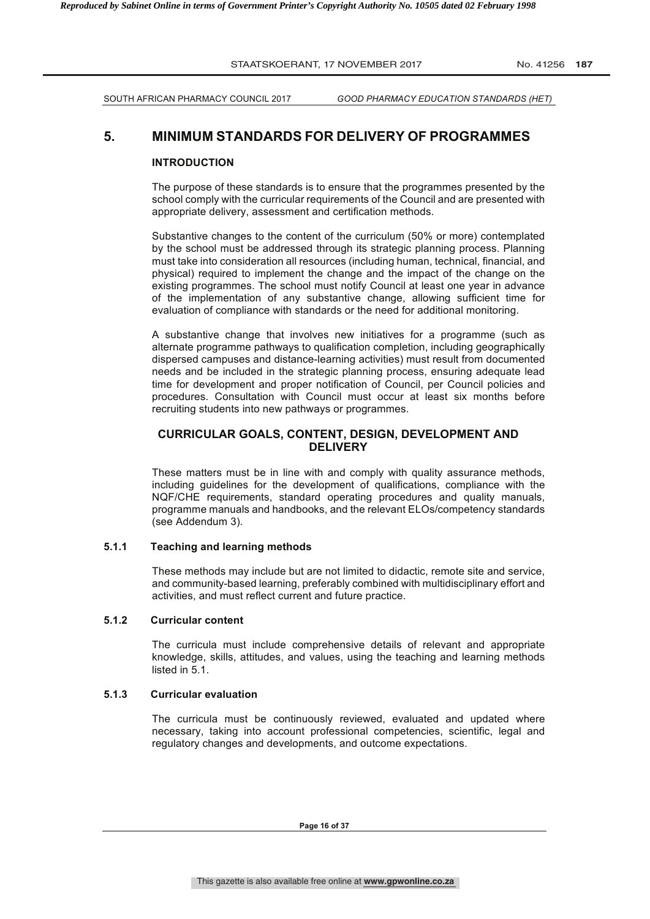SOUTH AFRICAN PHARMACY COUNCIL 2017 *GOOD PHARMACY EDUCATION STANDARDS (HET)*

# **5. MINIMUM STANDARDS FOR DELIVERY OF PROGRAMMES**

#### **INTRODUCTION**

The purpose of these standards is to ensure that the programmes presented by the school comply with the curricular requirements of the Council and are presented with appropriate delivery, assessment and certification methods.

Substantive changes to the content of the curriculum (50% or more) contemplated by the school must be addressed through its strategic planning process. Planning must take into consideration all resources (including human, technical, financial, and physical) required to implement the change and the impact of the change on the existing programmes. The school must notify Council at least one year in advance of the implementation of any substantive change, allowing sufficient time for evaluation of compliance with standards or the need for additional monitoring.

A substantive change that involves new initiatives for a programme (such as alternate programme pathways to qualification completion, including geographically dispersed campuses and distance-learning activities) must result from documented needs and be included in the strategic planning process, ensuring adequate lead time for development and proper notification of Council, per Council policies and procedures. Consultation with Council must occur at least six months before recruiting students into new pathways or programmes.

# **CURRICULAR GOALS, CONTENT, DESIGN, DEVELOPMENT AND DELIVERY**

These matters must be in line with and comply with quality assurance methods, including guidelines for the development of qualifications, compliance with the NQF/CHE requirements, standard operating procedures and quality manuals, programme manuals and handbooks, and the relevant ELOs/competency standards (see Addendum 3).

#### **5.1.1 Teaching and learning methods**

These methods may include but are not limited to didactic, remote site and service, and community-based learning, preferably combined with multidisciplinary effort and activities, and must reflect current and future practice.

# **5.1.2 Curricular content**

The curricula must include comprehensive details of relevant and appropriate knowledge, skills, attitudes, and values, using the teaching and learning methods listed in 5.1.

# **5.1.3 Curricular evaluation**

The curricula must be continuously reviewed, evaluated and updated where necessary, taking into account professional competencies, scientific, legal and regulatory changes and developments, and outcome expectations.

**Page 16 of 37**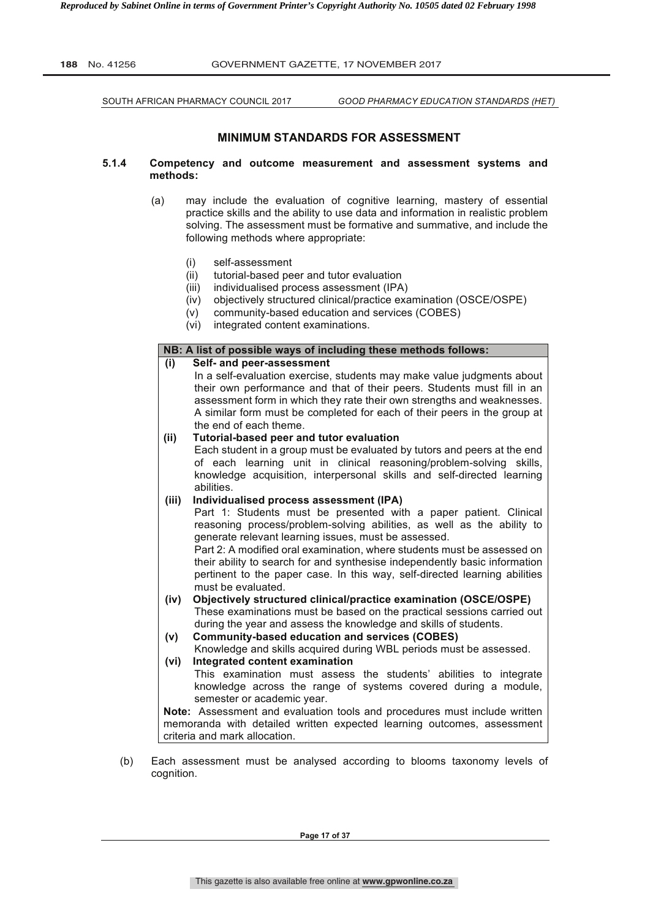SOUTH AFRICAN PHARMACY COUNCIL 2017 *GOOD PHARMACY EDUCATION STANDARDS (HET)*

# **MINIMUM STANDARDS FOR ASSESSMENT**

- **5.1.4 Competency and outcome measurement and assessment systems and methods:**
	- (a) may include the evaluation of cognitive learning, mastery of essential practice skills and the ability to use data and information in realistic problem solving. The assessment must be formative and summative, and include the following methods where appropriate:
		- (i) self-assessment
		- (ii) tutorial-based peer and tutor evaluation
		- (iii) individualised process assessment (IPA)
		- (iv) objectively structured clinical/practice examination (OSCE/OSPE)
		- (v) community-based education and services (COBES)
		- (vi) integrated content examinations.

#### **NB: A list of possible ways of including these methods follows:**

- **(i) Self- and peer-assessment** In a self-evaluation exercise, students may make value judgments about their own performance and that of their peers. Students must fill in an assessment form in which they rate their own strengths and weaknesses. A similar form must be completed for each of their peers in the group at the end of each theme. **(ii) Tutorial-based peer and tutor evaluation** Each student in a group must be evaluated by tutors and peers at the end of each learning unit in clinical reasoning/problem-solving skills, knowledge acquisition, interpersonal skills and self-directed learning abilities. **(iii) Individualised process assessment (IPA)** Part 1: Students must be presented with a paper patient. Clinical reasoning process/problem-solving abilities, as well as the ability to generate relevant learning issues, must be assessed. Part 2: A modified oral examination, where students must be assessed on their ability to search for and synthesise independently basic information pertinent to the paper case. In this way, self-directed learning abilities must be evaluated. **(iv) Objectively structured clinical/practice examination (OSCE/OSPE)** These examinations must be based on the practical sessions carried out during the year and assess the knowledge and skills of students. **(v) Community-based education and services (COBES)** Knowledge and skills acquired during WBL periods must be assessed. **(vi) Integrated content examination** This examination must assess the students' abilities to integrate knowledge across the range of systems covered during a module, semester or academic year. **Note:** Assessment and evaluation tools and procedures must include written memoranda with detailed written expected learning outcomes, assessment criteria and mark allocation.
- (b) Each assessment must be analysed according to blooms taxonomy levels of cognition.

**Page 17 of 37**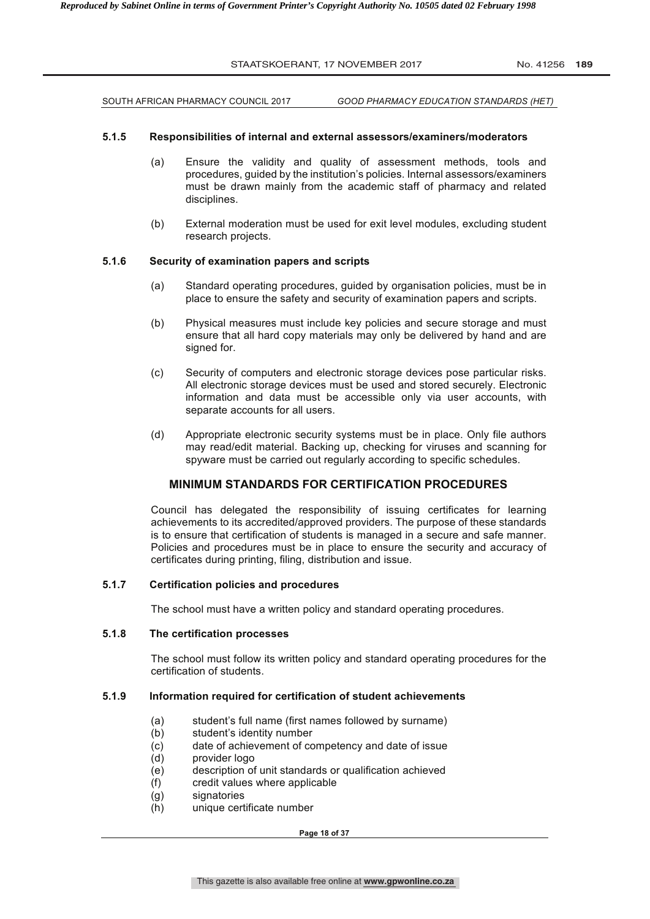SOUTH AFRICAN PHARMACY COUNCIL 2017 *GOOD PHARMACY EDUCATION STANDARDS (HET)*

#### **5.1.5 Responsibilities of internal and external assessors/examiners/moderators**

- (a) Ensure the validity and quality of assessment methods, tools and procedures, guided by the institution's policies. Internal assessors/examiners must be drawn mainly from the academic staff of pharmacy and related disciplines.
- (b) External moderation must be used for exit level modules, excluding student research projects.

#### **5.1.6 Security of examination papers and scripts**

- (a) Standard operating procedures, guided by organisation policies, must be in place to ensure the safety and security of examination papers and scripts.
- (b) Physical measures must include key policies and secure storage and must ensure that all hard copy materials may only be delivered by hand and are signed for.
- (c) Security of computers and electronic storage devices pose particular risks. All electronic storage devices must be used and stored securely. Electronic information and data must be accessible only via user accounts, with separate accounts for all users.
- (d) Appropriate electronic security systems must be in place. Only file authors may read/edit material. Backing up, checking for viruses and scanning for spyware must be carried out regularly according to specific schedules.

# **MINIMUM STANDARDS FOR CERTIFICATION PROCEDURES**

Council has delegated the responsibility of issuing certificates for learning achievements to its accredited/approved providers. The purpose of these standards is to ensure that certification of students is managed in a secure and safe manner. Policies and procedures must be in place to ensure the security and accuracy of certificates during printing, filing, distribution and issue.

#### **5.1.7 Certification policies and procedures**

The school must have a written policy and standard operating procedures.

#### **5.1.8 The certification processes**

The school must follow its written policy and standard operating procedures for the certification of students.

#### **5.1.9 Information required for certification of student achievements**

- (a) student's full name (first names followed by surname)<br>(b) student's identity number
- student's identity number
- (c) date of achievement of competency and date of issue
- (d) provider logo
- (e) description of unit standards or qualification achieved
- (f) credit values where applicable
- (g) signatories
- (h) unique certificate number

**Page 18 of 37**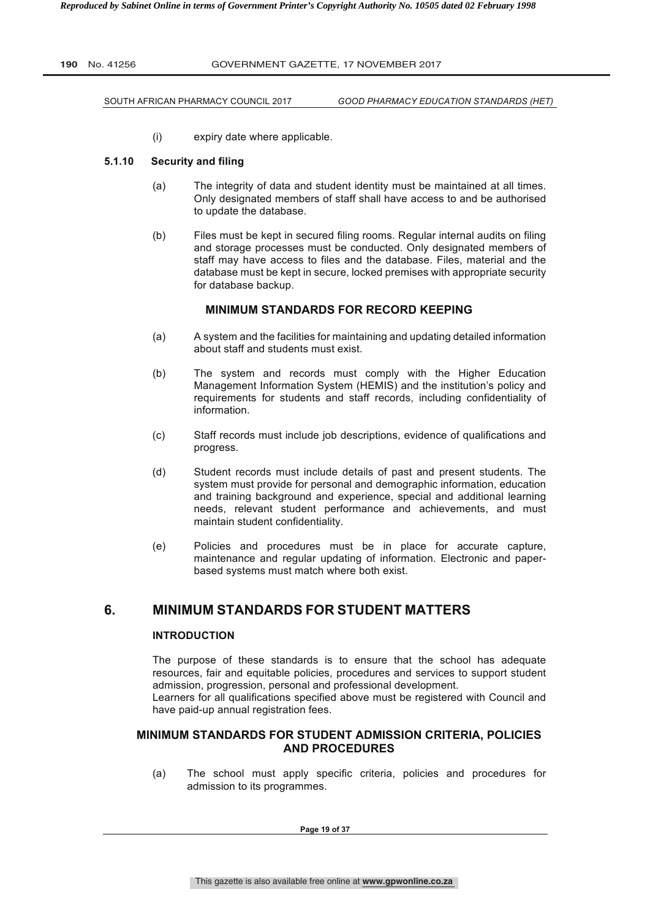SOUTH AFRICAN PHARMACY COUNCIL 2017 *GOOD PHARMACY EDUCATION STANDARDS (HET)*

(i) expiry date where applicable.

#### **5.1.10 Security and filing**

- (a) The integrity of data and student identity must be maintained at all times. Only designated members of staff shall have access to and be authorised to update the database.
- (b) Files must be kept in secured filing rooms. Regular internal audits on filing and storage processes must be conducted. Only designated members of staff may have access to files and the database. Files, material and the database must be kept in secure, locked premises with appropriate security for database backup.

# **MINIMUM STANDARDS FOR RECORD KEEPING**

- (a) A system and the facilities for maintaining and updating detailed information about staff and students must exist.
- (b) The system and records must comply with the Higher Education Management Information System (HEMIS) and the institution's policy and requirements for students and staff records, including confidentiality of information.
- (c) Staff records must include job descriptions, evidence of qualifications and progress.
- (d) Student records must include details of past and present students. The system must provide for personal and demographic information, education and training background and experience, special and additional learning needs, relevant student performance and achievements, and must maintain student confidentiality.
- (e) Policies and procedures must be in place for accurate capture, maintenance and regular updating of information. Electronic and paperbased systems must match where both exist.

# **6. MINIMUM STANDARDS FOR STUDENT MATTERS**

# **INTRODUCTION**

The purpose of these standards is to ensure that the school has adequate resources, fair and equitable policies, procedures and services to support student admission, progression, personal and professional development.

Learners for all qualifications specified above must be registered with Council and have paid-up annual registration fees.

# **MINIMUM STANDARDS FOR STUDENT ADMISSION CRITERIA, POLICIES AND PROCEDURES**

(a) The school must apply specific criteria, policies and procedures for admission to its programmes.

**Page 19 of 37**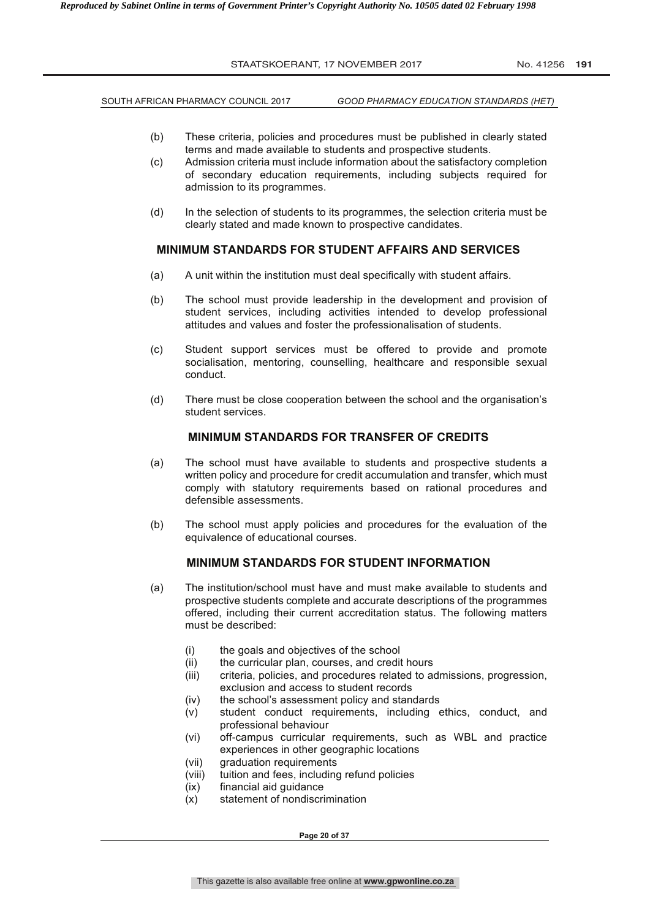SOUTH AFRICAN PHARMACY COUNCIL 2017 *GOOD PHARMACY EDUCATION STANDARDS (HET)*

- (b) These criteria, policies and procedures must be published in clearly stated terms and made available to students and prospective students.
- (c) Admission criteria must include information about the satisfactory completion of secondary education requirements, including subjects required for admission to its programmes.
- (d) In the selection of students to its programmes, the selection criteria must be clearly stated and made known to prospective candidates.

#### **MINIMUM STANDARDS FOR STUDENT AFFAIRS AND SERVICES**

- (a) A unit within the institution must deal specifically with student affairs.
- (b) The school must provide leadership in the development and provision of student services, including activities intended to develop professional attitudes and values and foster the professionalisation of students.
- (c) Student support services must be offered to provide and promote socialisation, mentoring, counselling, healthcare and responsible sexual conduct.
- (d) There must be close cooperation between the school and the organisation's student services.

# **MINIMUM STANDARDS FOR TRANSFER OF CREDITS**

- (a) The school must have available to students and prospective students a written policy and procedure for credit accumulation and transfer, which must comply with statutory requirements based on rational procedures and defensible assessments.
- (b) The school must apply policies and procedures for the evaluation of the equivalence of educational courses.

# **MINIMUM STANDARDS FOR STUDENT INFORMATION**

- (a) The institution/school must have and must make available to students and prospective students complete and accurate descriptions of the programmes offered, including their current accreditation status. The following matters must be described:
	- (i) the goals and objectives of the school
	- (ii) the curricular plan, courses, and credit hours
	- (iii) criteria, policies, and procedures related to admissions, progression, exclusion and access to student records
	- (iv) the school's assessment policy and standards
	- (v) student conduct requirements, including ethics, conduct, and professional behaviour
	- (vi) off-campus curricular requirements, such as WBL and practice experiences in other geographic locations
	- (vii) graduation requirements
	- (viii) tuition and fees, including refund policies
	- (ix) financial aid guidance
	- (x) statement of nondiscrimination

**Page 20 of 37**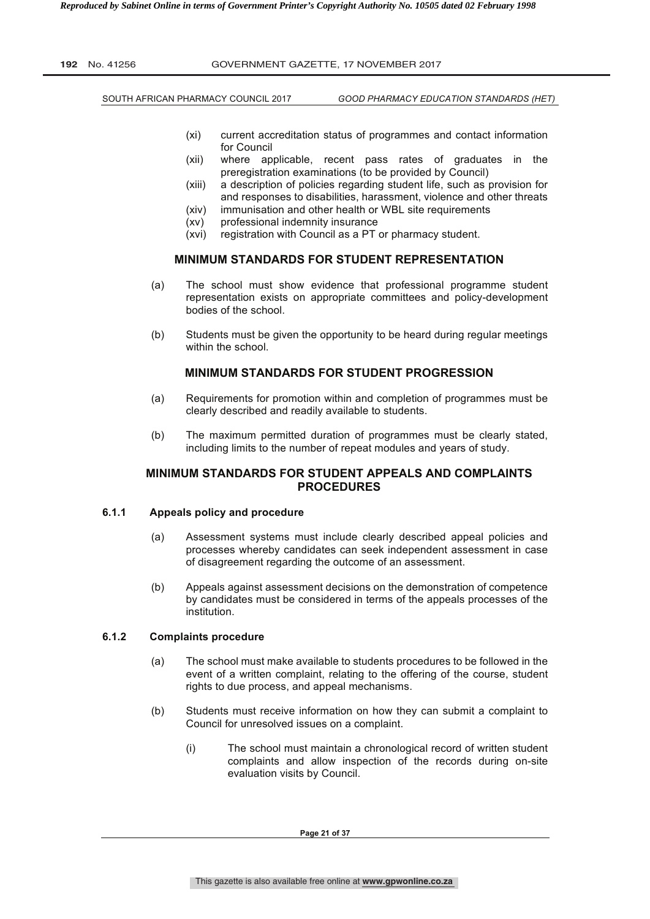SOUTH AFRICAN PHARMACY COUNCIL 2017 *GOOD PHARMACY EDUCATION STANDARDS (HET)*

- (xi) current accreditation status of programmes and contact information for Council
- (xii) where applicable, recent pass rates of graduates in the preregistration examinations (to be provided by Council)
- (xiii) a description of policies regarding student life, such as provision for and responses to disabilities, harassment, violence and other threats
- (xiv) immunisation and other health or WBL site requirements
- (xv) professional indemnity insurance
- (xvi) registration with Council as a PT or pharmacy student.

# **MINIMUM STANDARDS FOR STUDENT REPRESENTATION**

- (a) The school must show evidence that professional programme student representation exists on appropriate committees and policy-development bodies of the school.
- (b) Students must be given the opportunity to be heard during regular meetings within the school.

#### **MINIMUM STANDARDS FOR STUDENT PROGRESSION**

- (a) Requirements for promotion within and completion of programmes must be clearly described and readily available to students.
- (b) The maximum permitted duration of programmes must be clearly stated, including limits to the number of repeat modules and years of study.

# **MINIMUM STANDARDS FOR STUDENT APPEALS AND COMPLAINTS PROCEDURES**

# **6.1.1 Appeals policy and procedure**

- (a) Assessment systems must include clearly described appeal policies and processes whereby candidates can seek independent assessment in case of disagreement regarding the outcome of an assessment.
- (b) Appeals against assessment decisions on the demonstration of competence by candidates must be considered in terms of the appeals processes of the institution.

#### **6.1.2 Complaints procedure**

- (a) The school must make available to students procedures to be followed in the event of a written complaint, relating to the offering of the course, student rights to due process, and appeal mechanisms.
- (b) Students must receive information on how they can submit a complaint to Council for unresolved issues on a complaint.
	- (i) The school must maintain a chronological record of written student complaints and allow inspection of the records during on-site evaluation visits by Council.

**Page 21 of 37**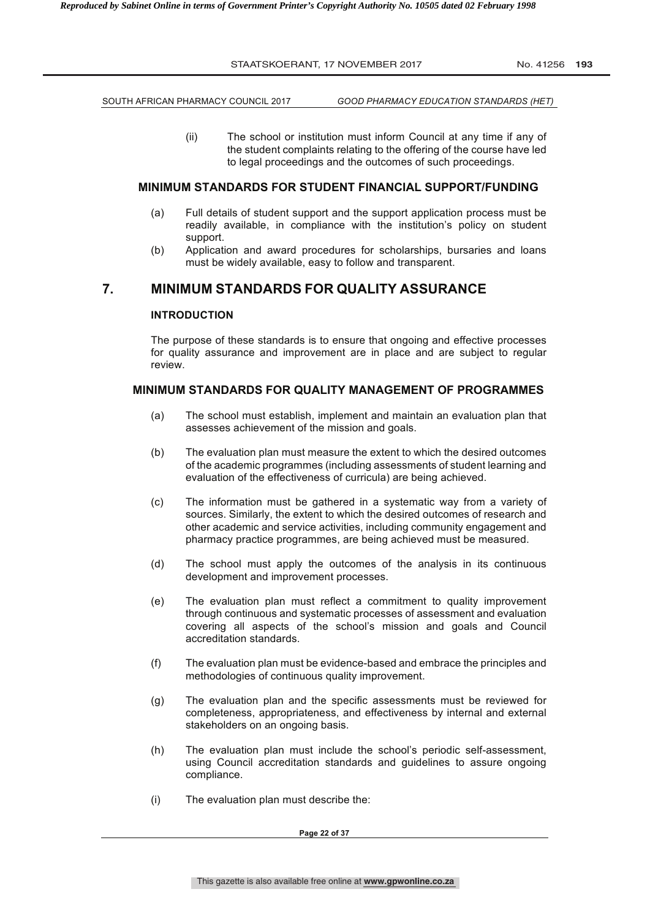SOUTH AFRICAN PHARMACY COUNCIL 2017 *GOOD PHARMACY EDUCATION STANDARDS (HET)*

(ii) The school or institution must inform Council at any time if any of the student complaints relating to the offering of the course have led to legal proceedings and the outcomes of such proceedings.

#### **MINIMUM STANDARDS FOR STUDENT FINANCIAL SUPPORT/FUNDING**

- (a) Full details of student support and the support application process must be readily available, in compliance with the institution's policy on student support.
- (b) Application and award procedures for scholarships, bursaries and loans must be widely available, easy to follow and transparent.

# **7. MINIMUM STANDARDS FOR QUALITY ASSURANCE**

#### **INTRODUCTION**

The purpose of these standards is to ensure that ongoing and effective processes for quality assurance and improvement are in place and are subject to regular review.

#### **MINIMUM STANDARDS FOR QUALITY MANAGEMENT OF PROGRAMMES**

- (a) The school must establish, implement and maintain an evaluation plan that assesses achievement of the mission and goals.
- (b) The evaluation plan must measure the extent to which the desired outcomes of the academic programmes (including assessments of student learning and evaluation of the effectiveness of curricula) are being achieved.
- (c) The information must be gathered in a systematic way from a variety of sources. Similarly, the extent to which the desired outcomes of research and other academic and service activities, including community engagement and pharmacy practice programmes, are being achieved must be measured.
- (d) The school must apply the outcomes of the analysis in its continuous development and improvement processes.
- (e) The evaluation plan must reflect a commitment to quality improvement through continuous and systematic processes of assessment and evaluation covering all aspects of the school's mission and goals and Council accreditation standards.
- (f) The evaluation plan must be evidence-based and embrace the principles and methodologies of continuous quality improvement.
- (g) The evaluation plan and the specific assessments must be reviewed for completeness, appropriateness, and effectiveness by internal and external stakeholders on an ongoing basis.
- (h) The evaluation plan must include the school's periodic self-assessment, using Council accreditation standards and guidelines to assure ongoing compliance.
- (i) The evaluation plan must describe the:

**Page 22 of 37**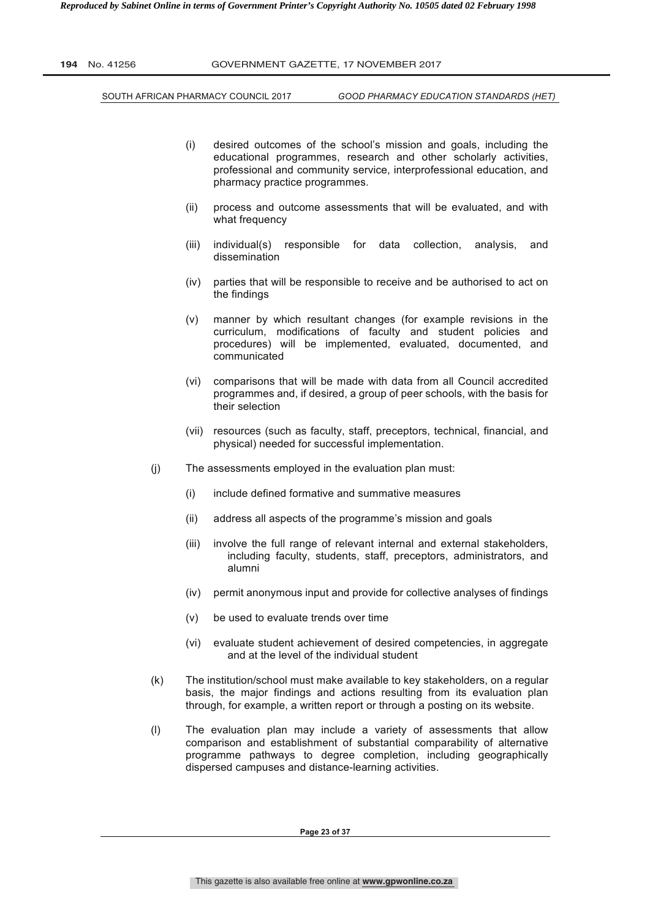SOUTH AFRICAN PHARMACY COUNCIL 2017 *GOOD PHARMACY EDUCATION STANDARDS (HET)*

- (i) desired outcomes of the school's mission and goals, including the educational programmes, research and other scholarly activities, professional and community service, interprofessional education, and pharmacy practice programmes.
- (ii) process and outcome assessments that will be evaluated, and with what frequency
- (iii) individual(s) responsible for data collection, analysis, and dissemination
- (iv) parties that will be responsible to receive and be authorised to act on the findings
- (v) manner by which resultant changes (for example revisions in the curriculum, modifications of faculty and student policies and procedures) will be implemented, evaluated, documented, and communicated
- (vi) comparisons that will be made with data from all Council accredited programmes and, if desired, a group of peer schools, with the basis for their selection
- (vii) resources (such as faculty, staff, preceptors, technical, financial, and physical) needed for successful implementation.
- (j) The assessments employed in the evaluation plan must:
	- (i) include defined formative and summative measures
	- (ii) address all aspects of the programme's mission and goals
	- (iii) involve the full range of relevant internal and external stakeholders, including faculty, students, staff, preceptors, administrators, and alumni
	- (iv) permit anonymous input and provide for collective analyses of findings
	- (v) be used to evaluate trends over time
	- (vi) evaluate student achievement of desired competencies, in aggregate and at the level of the individual student
- (k) The institution/school must make available to key stakeholders, on a regular basis, the major findings and actions resulting from its evaluation plan through, for example, a written report or through a posting on its website.
- (l) The evaluation plan may include a variety of assessments that allow comparison and establishment of substantial comparability of alternative programme pathways to degree completion, including geographically dispersed campuses and distance-learning activities.

**Page 23 of 37**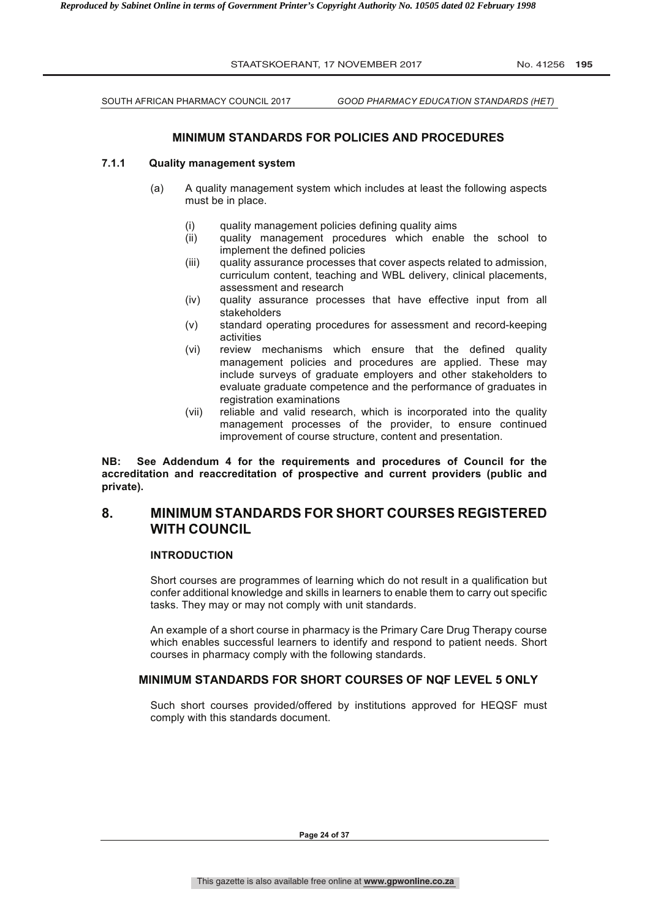SOUTH AFRICAN PHARMACY COUNCIL 2017 *GOOD PHARMACY EDUCATION STANDARDS (HET)*

# **MINIMUM STANDARDS FOR POLICIES AND PROCEDURES**

#### **7.1.1 Quality management system**

- (a) A quality management system which includes at least the following aspects must be in place.
	- (i) quality management policies defining quality aims
	- (ii) quality management procedures which enable the school to implement the defined policies
	- (iii) quality assurance processes that cover aspects related to admission, curriculum content, teaching and WBL delivery, clinical placements, assessment and research
	- (iv) quality assurance processes that have effective input from all stakeholders
	- (v) standard operating procedures for assessment and record-keeping activities
	- (vi) review mechanisms which ensure that the defined quality management policies and procedures are applied. These may include surveys of graduate employers and other stakeholders to evaluate graduate competence and the performance of graduates in registration examinations
	- (vii) reliable and valid research, which is incorporated into the quality management processes of the provider, to ensure continued improvement of course structure, content and presentation.

**NB: See Addendum 4 for the requirements and procedures of Council for the accreditation and reaccreditation of prospective and current providers (public and private).** 

# **8. MINIMUM STANDARDS FOR SHORT COURSES REGISTERED WITH COUNCIL**

#### **INTRODUCTION**

Short courses are programmes of learning which do not result in a qualification but confer additional knowledge and skills in learners to enable them to carry out specific tasks. They may or may not comply with unit standards.

An example of a short course in pharmacy is the Primary Care Drug Therapy course which enables successful learners to identify and respond to patient needs. Short courses in pharmacy comply with the following standards.

# **MINIMUM STANDARDS FOR SHORT COURSES OF NQF LEVEL 5 ONLY**

Such short courses provided/offered by institutions approved for HEQSF must comply with this standards document.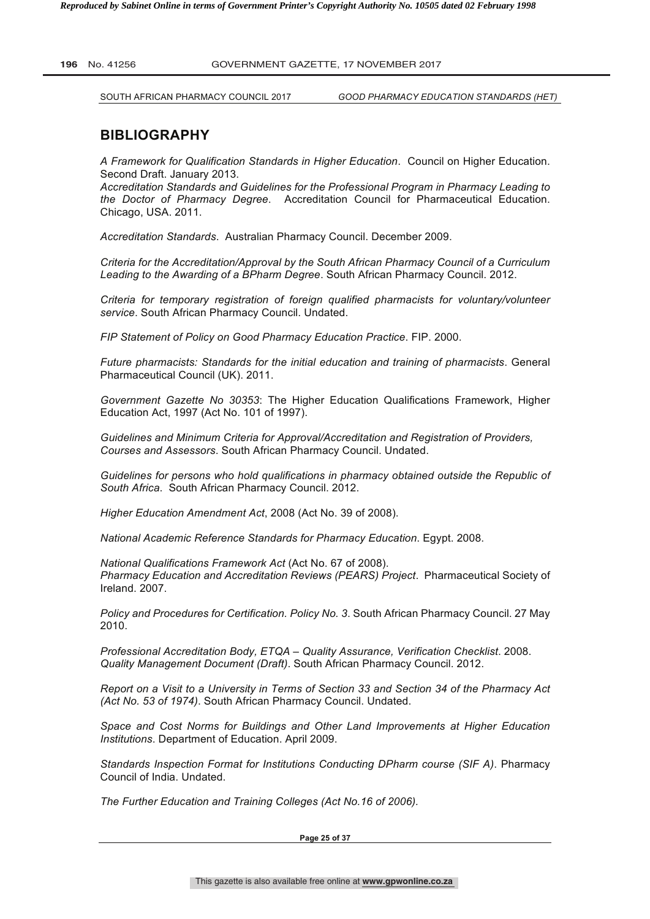SOUTH AFRICAN PHARMACY COUNCIL 2017 *GOOD PHARMACY EDUCATION STANDARDS (HET)*

# **BIBLIOGRAPHY**

*A Framework for Qualification Standards in Higher Education*. Council on Higher Education. Second Draft. January 2013.

*Accreditation Standards and Guidelines for the Professional Program in Pharmacy Leading to the Doctor of Pharmacy Degree*. Accreditation Council for Pharmaceutical Education. Chicago, USA. 2011.

*Accreditation Standards*. Australian Pharmacy Council. December 2009.

*Criteria for the Accreditation/Approval by the South African Pharmacy Council of a Curriculum Leading to the Awarding of a BPharm Degree*. South African Pharmacy Council. 2012.

*Criteria for temporary registration of foreign qualified pharmacists for voluntary/volunteer service*. South African Pharmacy Council. Undated.

*FIP Statement of Policy on Good Pharmacy Education Practice*. FIP. 2000.

*Future pharmacists: Standards for the initial education and training of pharmacists*. General Pharmaceutical Council (UK). 2011.

*Government Gazette No 30353*: The Higher Education Qualifications Framework, Higher Education Act, 1997 (Act No. 101 of 1997).

*Guidelines and Minimum Criteria for Approval/Accreditation and Registration of Providers, Courses and Assessors*. South African Pharmacy Council. Undated.

*Guidelines for persons who hold qualifications in pharmacy obtained outside the Republic of South Africa*. South African Pharmacy Council. 2012.

*Higher Education Amendment Act*, 2008 (Act No. 39 of 2008).

*National Academic Reference Standards for Pharmacy Education*. Egypt. 2008.

*National Qualifications Framework Act* (Act No. 67 of 2008). *Pharmacy Education and Accreditation Reviews (PEARS) Project*. Pharmaceutical Society of Ireland. 2007.

*Policy and Procedures for Certification. Policy No. 3*. South African Pharmacy Council. 27 May 2010.

*Professional Accreditation Body, ETQA – Quality Assurance, Verification Checklist*. 2008. *Quality Management Document (Draft)*. South African Pharmacy Council. 2012.

*Report on a Visit to a University in Terms of Section 33 and Section 34 of the Pharmacy Act (Act No. 53 of 1974)*. South African Pharmacy Council. Undated.

*Space and Cost Norms for Buildings and Other Land Improvements at Higher Education Institutions*. Department of Education. April 2009.

*Standards Inspection Format for Institutions Conducting DPharm course (SIF A)*. Pharmacy Council of India. Undated.

*The Further Education and Training Colleges (Act No.16 of 2006).*

**Page 25 of 37**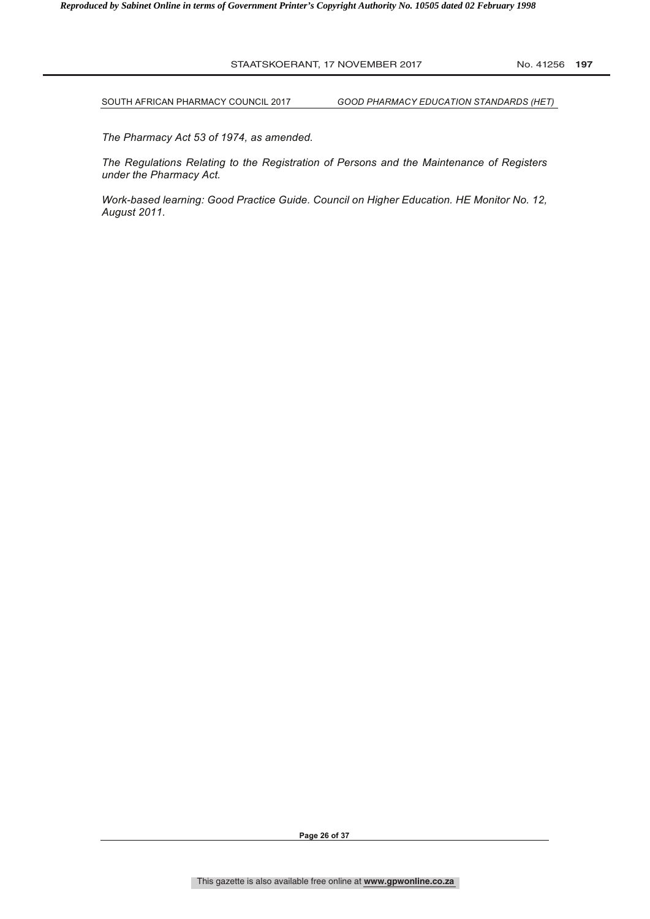SOUTH AFRICAN PHARMACY COUNCIL 2017 *GOOD PHARMACY EDUCATION STANDARDS (HET)*

*The Pharmacy Act 53 of 1974, as amended.*

*The Regulations Relating to the Registration of Persons and the Maintenance of Registers under the Pharmacy Act.*

*Work-based learning: Good Practice Guide. Council on Higher Education. HE Monitor No. 12, August 2011.*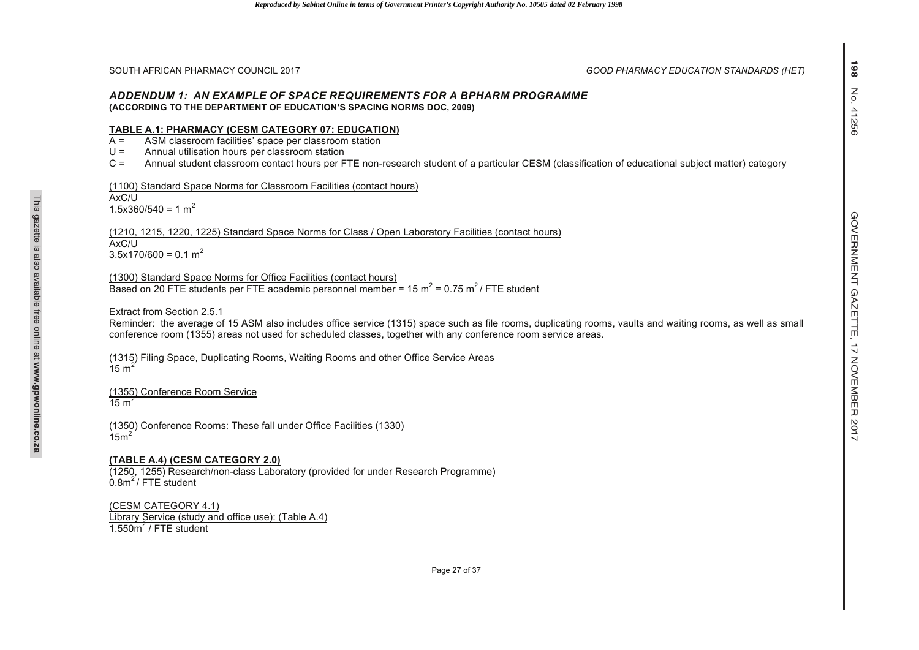#### *ADDENDUM 1: AN EXAMPLE OF SPACE REQUIREMENTS FOR A BPHARM PROGRAMME* **(ACCORDING TO THE DEPARTMENT OF EDUCATION'S SPACING NORMS DOC, 2009)**

#### **TABLE A.1: PHARMACY (CESM CATEGORY 07: EDUCATION)**

 $A =$ ASM classroom facilities' space per classroom station

 $U =$ Annual utilisation hours per classroom station

 $C =$ Annual student classroom contact hours per FTE non-research student of a particular CESM (classification of educational subject matter) category

# (1100) Standard Space Norms for Classroom Facilities (contact hours)

 $AxC/U$  $1.5x360/540 = 1 m<sup>2</sup>$ 

SOUTH ARREAM PHARMACY COUNCIL 2017<br>ADDENTION 17: AN EXTANT E OF SPACE REQUIREMENTS FOR A BPHARM PROGRAMME<br>ACCORDING 17: PHARMACY (CESM CATEGORY 07: EDUCATION SPACE TO RESULT AND RELATED AND THE CONSULTANT CONSULTANT<br>A CONS (1210, 1215, 1220, 1225) Standard Space Norms for Class / Open Laboratory Facilities (contact hours) AxC/U $3.5x170/600 = 0.1 m<sup>2</sup>$ 

(1300) Standard Space Norms for Office Facilities (contact hours) Based on 20 FTE students per FTE academic personnel member = 15  $m^2$  = 0.75  $m^2$  / FTE student

# Extract from Section 2.5.1

Reminder: the average of 15 ASM also includes office service (1315) space such as file rooms, duplicating rooms, vaults and waiting rooms, as well as small conference room (1355) areas not used for scheduled classes, together with any conference room service areas.

(1315) Filing Space, Duplicating Rooms, Waiting Rooms and other Office Service Areas  $15 m<sup>2</sup>$ 

(1355) Conference Room Service 15  $m<sup>2</sup>$ 

(1350) Conference Rooms: These fall under Office Facilities (1330)  $15m<sup>2</sup>$ 

# **(TABLE A.4) (CESM CATEGORY 2.0)**

(1250, 1255) Research/non-class Laboratory (provided for under Research Programme)  $0.8<sup>2</sup>$  / FTE student

(CESM CATEGORY 4.1) Library Service (study and office use): (Table A.4)  $1.550m<sup>2</sup>$  / FTF student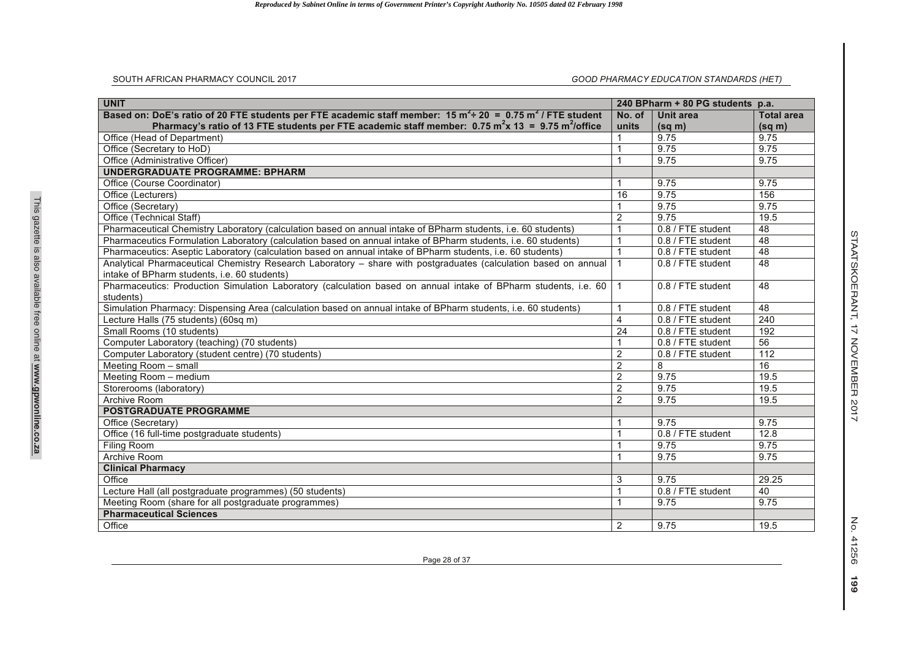#### SOUTH AFRICAN PHARMACY COUNCIL 2017

#### *GOOD PHARMACY EDUCATION STANDARDS (HET)*

| <b>UNIT</b>                                                                                                                       |                | 240 BPharm + 80 PG students p.a. |                   |
|-----------------------------------------------------------------------------------------------------------------------------------|----------------|----------------------------------|-------------------|
| Based on: DoE's ratio of 20 FTE students per FTE academic staff member: $15 \text{ m}^2$ + 20 = 0.75 m <sup>2</sup> / FTE student | No. of         | Unit area                        | <b>Total area</b> |
| Pharmacy's ratio of 13 FTE students per FTE academic staff member: $0.75 \text{ m}^2 \times 13 = 9.75 \text{ m}^2/\text{office}$  | units          | $(sq \, m)$                      | $(sq \, m)$       |
| Office (Head of Department)                                                                                                       |                | 9.75                             | 9.75              |
| Office (Secretary to HoD)                                                                                                         | $\overline{1}$ | 9.75                             | 9.75              |
| Office (Administrative Officer)                                                                                                   | 1              | 9.75                             | 9.75              |
| <b>UNDERGRADUATE PROGRAMME: BPHARM</b>                                                                                            |                |                                  |                   |
| Office (Course Coordinator)                                                                                                       | 1              | 9.75                             | 9.75              |
| Office (Lecturers)                                                                                                                | 16             | 9.75                             | 156               |
| Office (Secretary)                                                                                                                |                | 9.75                             | 9.75              |
| Office (Technical Staff)                                                                                                          | $\overline{2}$ | 9.75                             | 19.5              |
| Pharmaceutical Chemistry Laboratory (calculation based on annual intake of BPharm students, i.e. 60 students)                     | $\mathbf{1}$   | 0.8 / FTE student                | 48                |
| Pharmaceutics Formulation Laboratory (calculation based on annual intake of BPharm students, i.e. 60 students)                    | $\mathbf{1}$   | 0.8 / FTE student                | 48                |
| Pharmaceutics: Aseptic Laboratory (calculation based on annual intake of BPharm students, i.e. 60 students)                       | $\mathbf{1}$   | 0.8 / FTE student                | 48                |
| Analytical Pharmaceutical Chemistry Research Laboratory - share with postgraduates (calculation based on annual                   | $\mathbf{1}$   | 0.8 / FTE student                | 48                |
| intake of BPharm students, i.e. 60 students)                                                                                      |                |                                  |                   |
| Pharmaceutics: Production Simulation Laboratory (calculation based on annual intake of BPharm students, i.e. 60                   | $\mathbf{1}$   | 0.8 / FTE student                | 48                |
| students)                                                                                                                         |                |                                  |                   |
| Simulation Pharmacy: Dispensing Area (calculation based on annual intake of BPharm students, i.e. 60 students)                    | $\mathbf{1}$   | 0.8 / FTE student                | 48                |
| Lecture Halls (75 students) (60sq m)                                                                                              | $\overline{4}$ | 0.8 / FTE student                | 240               |
| Small Rooms (10 students)                                                                                                         | 24             | 0.8 / FTE student                | 192               |
| Computer Laboratory (teaching) (70 students)                                                                                      | $\mathbf 1$    | 0.8 / FTE student                | 56                |
| Computer Laboratory (student centre) (70 students)                                                                                | $\overline{2}$ | 0.8 / FTE student                | 112               |
| Meeting Room - small                                                                                                              | $\overline{2}$ | 8                                | 16                |
| Meeting Room - medium                                                                                                             | $\overline{2}$ | 9.75                             | 19.5              |
| Storerooms (laboratory)                                                                                                           | $\overline{2}$ | 9.75                             | 19.5              |
| Archive Room                                                                                                                      | $\overline{2}$ | 9.75                             | 19.5              |
| <b>POSTGRADUATE PROGRAMME</b>                                                                                                     |                |                                  |                   |
| Office (Secretary)                                                                                                                | 1              | 9.75                             | 9.75              |
| Office (16 full-time postgraduate students)                                                                                       | $\overline{1}$ | 0.8 / FTE student                | 12.8              |
| Filing Room                                                                                                                       | $\overline{1}$ | 9.75                             | 9.75              |
| Archive Room                                                                                                                      | 1              | 9.75                             | 9.75              |
| <b>Clinical Pharmacy</b>                                                                                                          |                |                                  |                   |
| Office                                                                                                                            | 3              | 9.75                             | 29.25             |
| Lecture Hall (all postgraduate programmes) (50 students)                                                                          | $\overline{1}$ | 0.8 / FTE student                | 40                |
| Meeting Room (share for all postgraduate programmes)                                                                              | $\overline{1}$ | 9.75                             | 9.75              |
| <b>Pharmaceutical Sciences</b>                                                                                                    |                |                                  |                   |
| Office                                                                                                                            | 2              | 9.75                             | 19.5              |

This gazette is also available free online at **www.gpwonline.co.za**

This gazette is also available free online at www.gpwonline.co.za

Page 28 of 37

No. 41256 **199**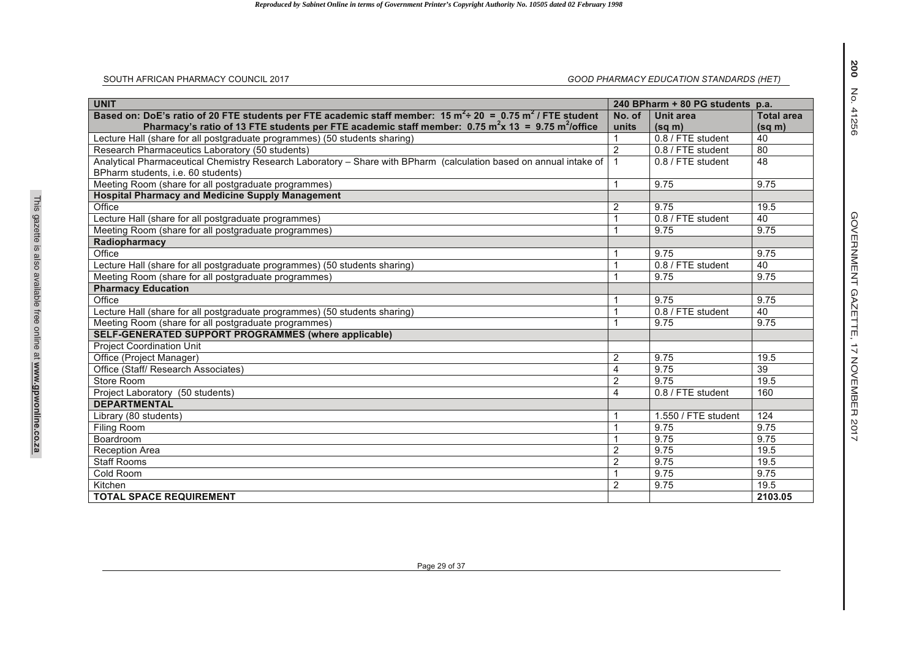| SOUTH AFRICAN PHARMACY COUNCIL 2017                                                                                              |                | GOOD PHARMACY EDUCATION STANDARDS (HET) |                   |
|----------------------------------------------------------------------------------------------------------------------------------|----------------|-----------------------------------------|-------------------|
| <b>UNIT</b>                                                                                                                      |                | 240 BPharm + 80 PG students p.a.        |                   |
| Based on: DoE's ratio of 20 FTE students per FTE academic staff member: $15 \text{ m}^2$ = 0.75 m <sup>2</sup> / FTE student     | No. of         | Unit area                               | <b>Total area</b> |
| Pharmacy's ratio of 13 FTE students per FTE academic staff member: $0.75 \text{ m}^2 \times 13 = 9.75 \text{ m}^2/\text{office}$ | units          | $(sq \, m)$                             | $(sq \, m)$       |
| Lecture Hall (share for all postgraduate programmes) (50 students sharing)                                                       |                | 0.8 / FTE student                       | 40                |
| Research Pharmaceutics Laboratory (50 students)                                                                                  | 2              | 0.8 / FTE student                       | 80                |
| Analytical Pharmaceutical Chemistry Research Laboratory - Share with BPharm (calculation based on annual intake of               | $\mathbf{1}$   | 0.8 / FTE student                       | 48                |
| BPharm students, i.e. 60 students)                                                                                               |                |                                         |                   |
| Meeting Room (share for all postgraduate programmes)                                                                             |                | 9.75                                    | 9.75              |
| <b>Hospital Pharmacy and Medicine Supply Management</b>                                                                          |                |                                         |                   |
| Office                                                                                                                           | 2              | 9.75                                    | 19.5              |
| Lecture Hall (share for all postgraduate programmes)                                                                             |                | 0.8 / FTE student                       | 40                |
| Meeting Room (share for all postgraduate programmes)                                                                             |                | 9.75                                    | 9.75              |
| Radiopharmacy                                                                                                                    |                |                                         |                   |
| Office                                                                                                                           |                | 9.75                                    | 9.75              |
| Lecture Hall (share for all postgraduate programmes) (50 students sharing)                                                       |                | 0.8 / FTE student                       | 40                |
| Meeting Room (share for all postgraduate programmes)                                                                             |                | 9.75                                    | 9.75              |
| <b>Pharmacy Education</b>                                                                                                        |                |                                         |                   |
| Office                                                                                                                           |                | 9.75                                    | 9.75              |
| Lecture Hall (share for all postgraduate programmes) (50 students sharing)                                                       |                | 0.8 / FTE student                       | 40                |
| Meeting Room (share for all postgraduate programmes)                                                                             |                | 9.75                                    | 9.75              |
| <b>SELF-GENERATED SUPPORT PROGRAMMES (where applicable)</b>                                                                      |                |                                         |                   |
| <b>Project Coordination Unit</b>                                                                                                 |                |                                         |                   |
| Office (Project Manager)                                                                                                         | $\overline{2}$ | 9.75                                    | 19.5              |
| Office (Staff/ Research Associates)                                                                                              | $\overline{4}$ | 9.75                                    | 39                |
| Store Room                                                                                                                       | $\overline{2}$ | 9.75                                    | 19.5              |
| Project Laboratory (50 students)                                                                                                 | $\overline{4}$ | 0.8 / FTE student                       | 160               |
| <b>DEPARTMENTAL</b>                                                                                                              |                |                                         |                   |
| Library (80 students)                                                                                                            |                | $1.550$ / FTE student                   | 124               |
| <b>Filing Room</b>                                                                                                               |                | 9.75                                    | 9.75              |
| Boardroom                                                                                                                        |                | 9.75                                    | 9.75              |
| <b>Reception Area</b>                                                                                                            | $\overline{2}$ | 9.75                                    | 19.5              |
| <b>Staff Rooms</b>                                                                                                               | $\overline{2}$ | 9.75                                    | 19.5              |
| Cold Room                                                                                                                        |                | 9.75                                    | 9.75              |
| Kitchen                                                                                                                          | 2              | 9.75                                    | 19.5              |
| <b>TOTAL SPACE REQUIREMENT</b>                                                                                                   |                |                                         | 2103.05           |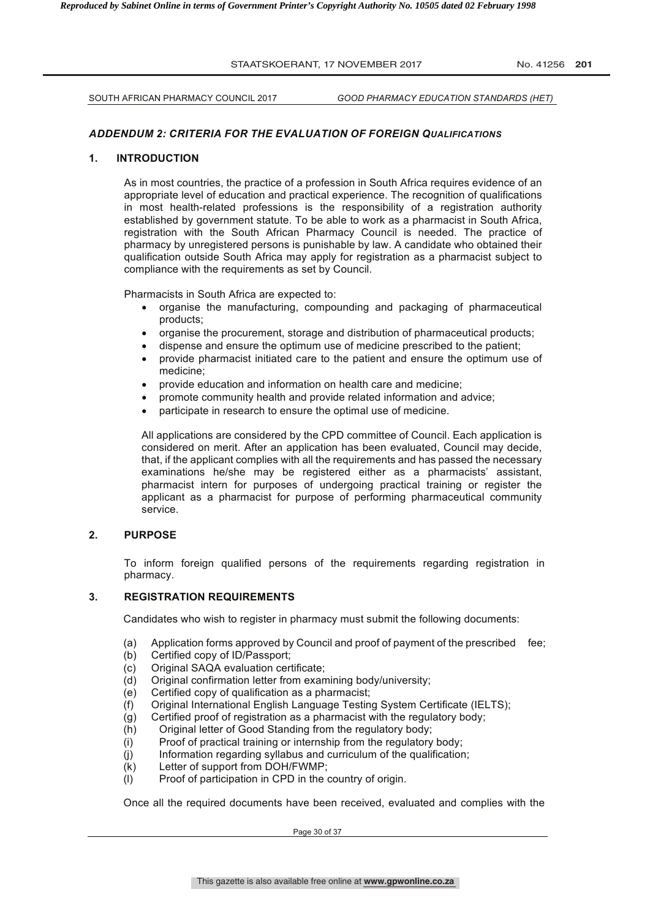SOUTH AFRICAN PHARMACY COUNCIL 2017 *GOOD PHARMACY EDUCATION STANDARDS (HET)*

#### *ADDENDUM 2: CRITERIA FOR THE EVALUATION OF FOREIGN QUALIFICATIONS*

#### **1. INTRODUCTION**

As in most countries, the practice of a profession in South Africa requires evidence of an appropriate level of education and practical experience. The recognition of qualifications in most health-related professions is the responsibility of a registration authority established by government statute. To be able to work as a pharmacist in South Africa, registration with the South African Pharmacy Council is needed. The practice of pharmacy by unregistered persons is punishable by law. A candidate who obtained their qualification outside South Africa may apply for registration as a pharmacist subject to compliance with the requirements as set by Council.

Pharmacists in South Africa are expected to:

- organise the manufacturing, compounding and packaging of pharmaceutical products;
- organise the procurement, storage and distribution of pharmaceutical products;
- dispense and ensure the optimum use of medicine prescribed to the patient;
- provide pharmacist initiated care to the patient and ensure the optimum use of medicine;
- provide education and information on health care and medicine;
- promote community health and provide related information and advice;
- participate in research to ensure the optimal use of medicine.

All applications are considered by the CPD committee of Council. Each application is considered on merit. After an application has been evaluated, Council may decide, that, if the applicant complies with all the requirements and has passed the necessary examinations he/she may be registered either as a pharmacists' assistant, pharmacist intern for purposes of undergoing practical training or register the applicant as a pharmacist for purpose of performing pharmaceutical community service.

# **2. PURPOSE**

To inform foreign qualified persons of the requirements regarding registration in pharmacy.

#### **3. REGISTRATION REQUIREMENTS**

Candidates who wish to register in pharmacy must submit the following documents:

- (a) Application forms approved by Council and proof of payment of the prescribed fee;
- (b) Certified copy of ID/Passport;
- (c) Original SAQA evaluation certificate;
- (d) Original confirmation letter from examining body/university;
- (e) Certified copy of qualification as a pharmacist;
- (f) Original International English Language Testing System Certificate (IELTS);
- (g) Certified proof of registration as a pharmacist with the regulatory body;
- (h) Original letter of Good Standing from the regulatory body;
- (i) Proof of practical training or internship from the regulatory body;
- (j) Information regarding syllabus and curriculum of the qualification;
- (k) Letter of support from DOH/FWMP;
- (l) Proof of participation in CPD in the country of origin.

Once all the required documents have been received, evaluated and complies with the

Page 30 of 37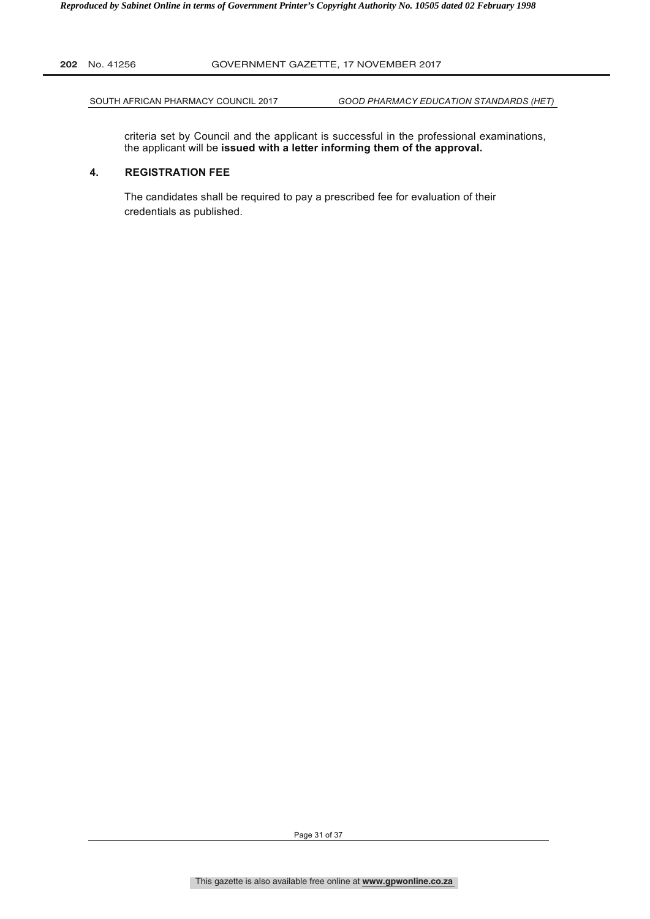SOUTH AFRICAN PHARMACY COUNCIL 2017 *GOOD PHARMACY EDUCATION STANDARDS (HET)*

criteria set by Council and the applicant is successful in the professional examinations, the applicant will be **issued with a letter informing them of the approval.**

#### **4. REGISTRATION FEE**

The candidates shall be required to pay a prescribed fee for evaluation of their credentials as published.

Page 31 of 37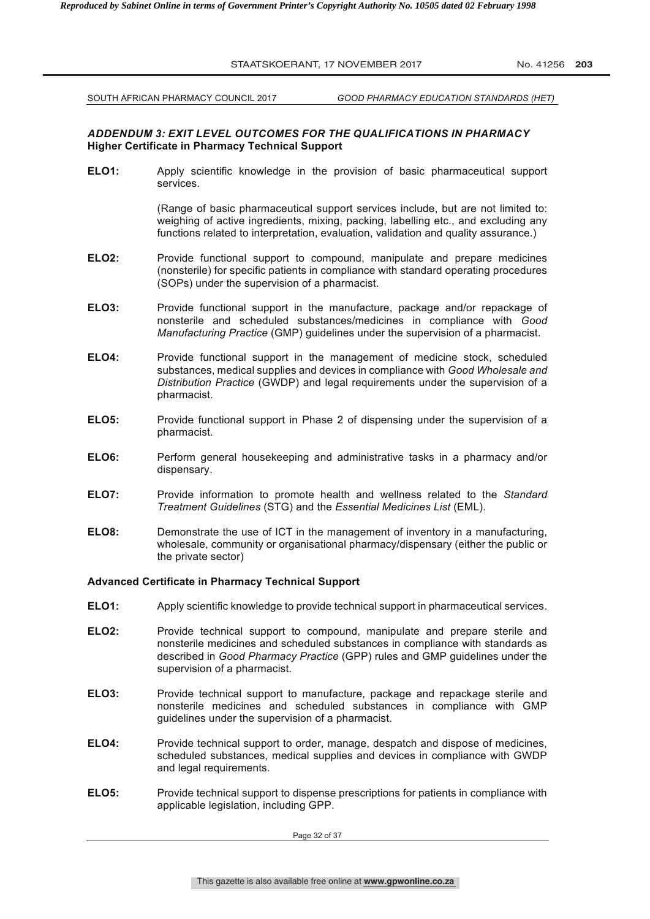SOUTH AFRICAN PHARMACY COUNCIL 2017 *GOOD PHARMACY EDUCATION STANDARDS (HET)*

#### *ADDENDUM 3: EXIT LEVEL OUTCOMES FOR THE QUALIFICATIONS IN PHARMACY* **Higher Certificate in Pharmacy Technical Support**

**ELO1:** Apply scientific knowledge in the provision of basic pharmaceutical support services.

> (Range of basic pharmaceutical support services include, but are not limited to: weighing of active ingredients, mixing, packing, labelling etc., and excluding any functions related to interpretation, evaluation, validation and quality assurance.)

- **ELO2:** Provide functional support to compound, manipulate and prepare medicines (nonsterile) for specific patients in compliance with standard operating procedures (SOPs) under the supervision of a pharmacist.
- **ELO3:** Provide functional support in the manufacture, package and/or repackage of nonsterile and scheduled substances/medicines in compliance with *Good Manufacturing Practice* (GMP) guidelines under the supervision of a pharmacist.
- **ELO4:** Provide functional support in the management of medicine stock, scheduled substances, medical supplies and devices in compliance with *Good Wholesale and Distribution Practice* (GWDP) and legal requirements under the supervision of a pharmacist.
- **ELO5:** Provide functional support in Phase 2 of dispensing under the supervision of a pharmacist.
- **ELO6:** Perform general housekeeping and administrative tasks in a pharmacy and/or dispensary.
- **ELO7:** Provide information to promote health and wellness related to the *Standard Treatment Guidelines* (STG) and the *Essential Medicines List* (EML).
- **ELO8:** Demonstrate the use of ICT in the management of inventory in a manufacturing, wholesale, community or organisational pharmacy/dispensary (either the public or the private sector)

#### **Advanced Certificate in Pharmacy Technical Support**

- **ELO1:** Apply scientific knowledge to provide technical support in pharmaceutical services.
- **ELO2:** Provide technical support to compound, manipulate and prepare sterile and nonsterile medicines and scheduled substances in compliance with standards as described in *Good Pharmacy Practice* (GPP) rules and GMP guidelines under the supervision of a pharmacist.
- **ELO3:** Provide technical support to manufacture, package and repackage sterile and nonsterile medicines and scheduled substances in compliance with GMP guidelines under the supervision of a pharmacist.
- **ELO4:** Provide technical support to order, manage, despatch and dispose of medicines, scheduled substances, medical supplies and devices in compliance with GWDP and legal requirements.
- **ELO5:** Provide technical support to dispense prescriptions for patients in compliance with applicable legislation, including GPP.

Page 32 of 37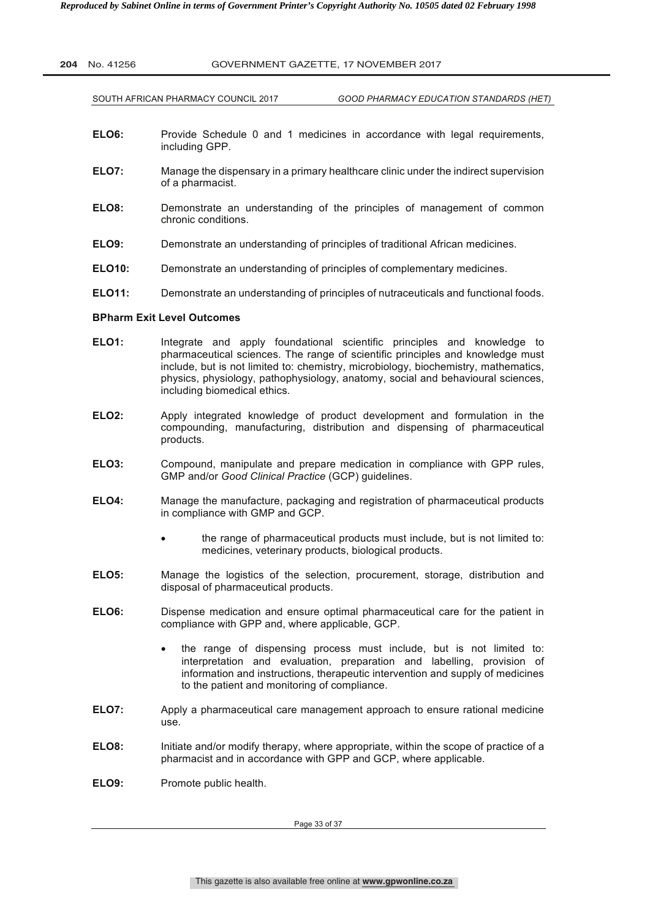SOUTH AFRICAN PHARMACY COUNCIL 2017 *GOOD PHARMACY EDUCATION STANDARDS (HET)*

- **ELO6:** Provide Schedule 0 and 1 medicines in accordance with legal requirements, including GPP.
- **ELO7:** Manage the dispensary in a primary healthcare clinic under the indirect supervision of a pharmacist.
- **ELO8:** Demonstrate an understanding of the principles of management of common chronic conditions.
- **ELO9:** Demonstrate an understanding of principles of traditional African medicines.
- **ELO10:** Demonstrate an understanding of principles of complementary medicines.
- **ELO11:** Demonstrate an understanding of principles of nutraceuticals and functional foods.

#### **BPharm Exit Level Outcomes**

- **ELO1:** Integrate and apply foundational scientific principles and knowledge to pharmaceutical sciences. The range of scientific principles and knowledge must include, but is not limited to: chemistry, microbiology, biochemistry, mathematics, physics, physiology, pathophysiology, anatomy, social and behavioural sciences, including biomedical ethics.
- **ELO2:** Apply integrated knowledge of product development and formulation in the compounding, manufacturing, distribution and dispensing of pharmaceutical products.
- **ELO3:** Compound, manipulate and prepare medication in compliance with GPP rules, GMP and/or *Good Clinical Practice* (GCP) guidelines.
- **ELO4:** Manage the manufacture, packaging and registration of pharmaceutical products in compliance with GMP and GCP.
	- the range of pharmaceutical products must include, but is not limited to: medicines, veterinary products, biological products.
- **ELO5:** Manage the logistics of the selection, procurement, storage, distribution and disposal of pharmaceutical products.
- **ELO6:** Dispense medication and ensure optimal pharmaceutical care for the patient in compliance with GPP and, where applicable, GCP.
	- the range of dispensing process must include, but is not limited to: interpretation and evaluation, preparation and labelling, provision of information and instructions, therapeutic intervention and supply of medicines to the patient and monitoring of compliance.
- **ELO7:** Apply a pharmaceutical care management approach to ensure rational medicine use.
- **ELO8:** Initiate and/or modify therapy, where appropriate, within the scope of practice of a pharmacist and in accordance with GPP and GCP, where applicable.
- **ELO9:** Promote public health.

Page 33 of 37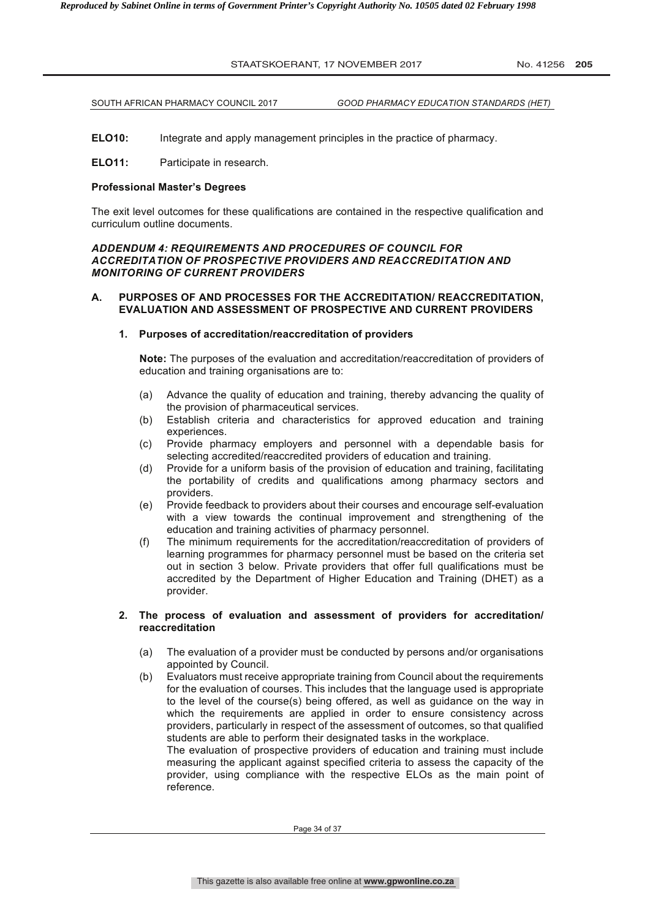SOUTH AFRICAN PHARMACY COUNCIL 2017 *GOOD PHARMACY EDUCATION STANDARDS (HET)*

**ELO10:** Integrate and apply management principles in the practice of pharmacy.

**ELO11:** Participate in research.

#### **Professional Master's Degrees**

The exit level outcomes for these qualifications are contained in the respective qualification and curriculum outline documents.

#### *ADDENDUM 4: REQUIREMENTS AND PROCEDURES OF COUNCIL FOR ACCREDITATION OF PROSPECTIVE PROVIDERS AND REACCREDITATION AND MONITORING OF CURRENT PROVIDERS*

#### **A. PURPOSES OF AND PROCESSES FOR THE ACCREDITATION/ REACCREDITATION, EVALUATION AND ASSESSMENT OF PROSPECTIVE AND CURRENT PROVIDERS**

#### **1. Purposes of accreditation/reaccreditation of providers**

**Note:** The purposes of the evaluation and accreditation/reaccreditation of providers of education and training organisations are to:

- (a) Advance the quality of education and training, thereby advancing the quality of the provision of pharmaceutical services.
- (b) Establish criteria and characteristics for approved education and training experiences.
- (c) Provide pharmacy employers and personnel with a dependable basis for selecting accredited/reaccredited providers of education and training.
- (d) Provide for a uniform basis of the provision of education and training, facilitating the portability of credits and qualifications among pharmacy sectors and providers.
- (e) Provide feedback to providers about their courses and encourage self-evaluation with a view towards the continual improvement and strengthening of the education and training activities of pharmacy personnel.
- (f) The minimum requirements for the accreditation/reaccreditation of providers of learning programmes for pharmacy personnel must be based on the criteria set out in section 3 below. Private providers that offer full qualifications must be accredited by the Department of Higher Education and Training (DHET) as a provider.

#### **2. The process of evaluation and assessment of providers for accreditation/ reaccreditation**

- (a) The evaluation of a provider must be conducted by persons and/or organisations appointed by Council.
- (b) Evaluators must receive appropriate training from Council about the requirements for the evaluation of courses. This includes that the language used is appropriate to the level of the course(s) being offered, as well as guidance on the way in which the requirements are applied in order to ensure consistency across providers, particularly in respect of the assessment of outcomes, so that qualified students are able to perform their designated tasks in the workplace.

The evaluation of prospective providers of education and training must include measuring the applicant against specified criteria to assess the capacity of the provider, using compliance with the respective ELOs as the main point of reference.

Page 34 of 37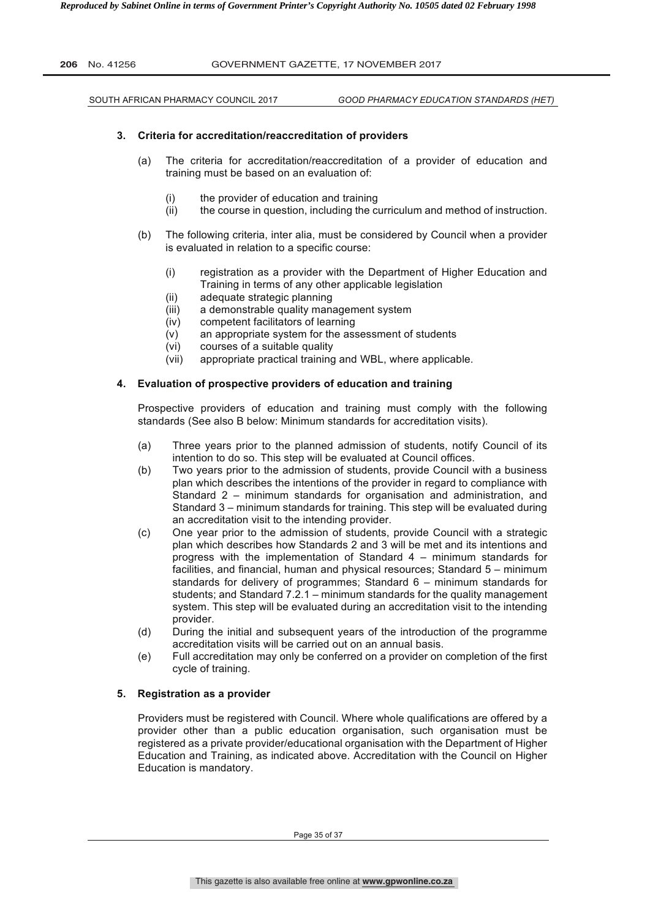| GOVERNMENT GAZETTE, 17 NOVEMBER 2017<br><b>206</b> No. 41256 |
|--------------------------------------------------------------|
|--------------------------------------------------------------|

SOUTH AFRICAN PHARMACY COUNCIL 2017 *GOOD PHARMACY EDUCATION STANDARDS (HET)*

#### **3. Criteria for accreditation/reaccreditation of providers**

- (a) The criteria for accreditation/reaccreditation of a provider of education and training must be based on an evaluation of:
	- (i) the provider of education and training
	- (ii) the course in question, including the curriculum and method of instruction.
- (b) The following criteria, inter alia, must be considered by Council when a provider is evaluated in relation to a specific course:
	- (i) registration as a provider with the Department of Higher Education and Training in terms of any other applicable legislation
	- (ii) adequate strategic planning
	- (iii) a demonstrable quality management system
	- (iv) competent facilitators of learning
	- (v) an appropriate system for the assessment of students
	- (vi) courses of a suitable quality
	- (vii) appropriate practical training and WBL, where applicable.

#### **4. Evaluation of prospective providers of education and training**

Prospective providers of education and training must comply with the following standards (See also B below: Minimum standards for accreditation visits).

- (a) Three years prior to the planned admission of students, notify Council of its intention to do so. This step will be evaluated at Council offices.
- (b) Two years prior to the admission of students, provide Council with a business plan which describes the intentions of the provider in regard to compliance with Standard 2 – minimum standards for organisation and administration, and Standard 3 – minimum standards for training. This step will be evaluated during an accreditation visit to the intending provider.
- (c) One year prior to the admission of students, provide Council with a strategic plan which describes how Standards 2 and 3 will be met and its intentions and progress with the implementation of Standard 4 – minimum standards for facilities, and financial, human and physical resources; Standard 5 – minimum standards for delivery of programmes; Standard 6 – minimum standards for students; and Standard 7.2.1 – minimum standards for the quality management system. This step will be evaluated during an accreditation visit to the intending provider.
- (d) During the initial and subsequent years of the introduction of the programme accreditation visits will be carried out on an annual basis.
- (e) Full accreditation may only be conferred on a provider on completion of the first cycle of training.

#### **5. Registration as a provider**

Providers must be registered with Council. Where whole qualifications are offered by a provider other than a public education organisation, such organisation must be registered as a private provider/educational organisation with the Department of Higher Education and Training, as indicated above. Accreditation with the Council on Higher Education is mandatory.

Page 35 of 37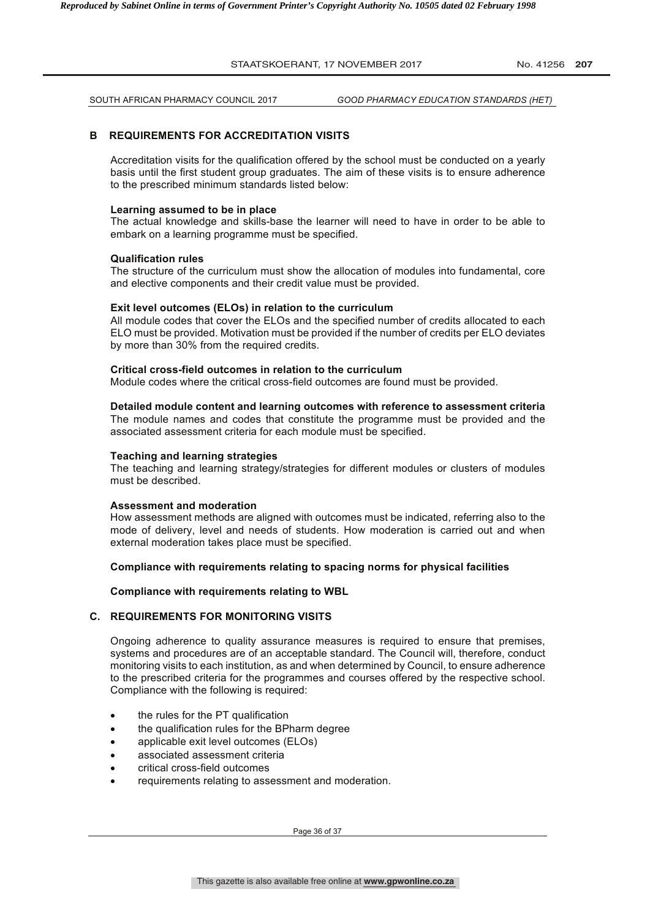SOUTH AFRICAN PHARMACY COUNCIL 2017 *GOOD PHARMACY EDUCATION STANDARDS (HET)*

#### **B REQUIREMENTS FOR ACCREDITATION VISITS**

Accreditation visits for the qualification offered by the school must be conducted on a yearly basis until the first student group graduates. The aim of these visits is to ensure adherence to the prescribed minimum standards listed below:

#### **Learning assumed to be in place**

The actual knowledge and skills-base the learner will need to have in order to be able to embark on a learning programme must be specified.

#### **Qualification rules**

The structure of the curriculum must show the allocation of modules into fundamental, core and elective components and their credit value must be provided.

#### **Exit level outcomes (ELOs) in relation to the curriculum**

All module codes that cover the ELOs and the specified number of credits allocated to each ELO must be provided. Motivation must be provided if the number of credits per ELO deviates by more than 30% from the required credits.

#### **Critical cross-field outcomes in relation to the curriculum**

Module codes where the critical cross-field outcomes are found must be provided.

#### **Detailed module content and learning outcomes with reference to assessment criteria**

The module names and codes that constitute the programme must be provided and the associated assessment criteria for each module must be specified.

#### **Teaching and learning strategies**

The teaching and learning strategy/strategies for different modules or clusters of modules must be described.

#### **Assessment and moderation**

How assessment methods are aligned with outcomes must be indicated, referring also to the mode of delivery, level and needs of students. How moderation is carried out and when external moderation takes place must be specified.

#### **Compliance with requirements relating to spacing norms for physical facilities**

#### **Compliance with requirements relating to WBL**

#### **C. REQUIREMENTS FOR MONITORING VISITS**

Ongoing adherence to quality assurance measures is required to ensure that premises, systems and procedures are of an acceptable standard. The Council will, therefore, conduct monitoring visits to each institution, as and when determined by Council, to ensure adherence to the prescribed criteria for the programmes and courses offered by the respective school. Compliance with the following is required:

- the rules for the PT qualification
- the qualification rules for the BPharm degree
- applicable exit level outcomes (ELOs)
- associated assessment criteria
- critical cross-field outcomes
- requirements relating to assessment and moderation.

Page 36 of 37